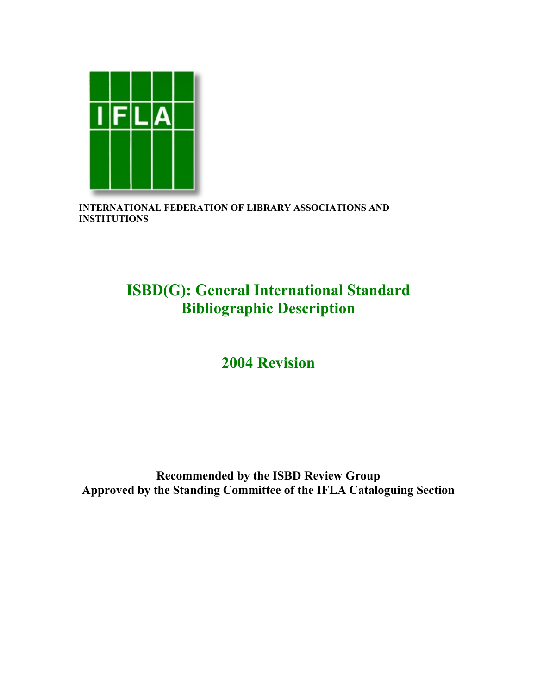

**INTERNATIONAL FEDERATION OF LIBRARY ASSOCIATIONS AND INSTITUTIONS**

# **ISBD(G): General International Standard Bibliographic Description**

# **2004 Revision**

# **Recommended by the ISBD Review Group Approved by the Standing Committee of the IFLA Cataloguing Section**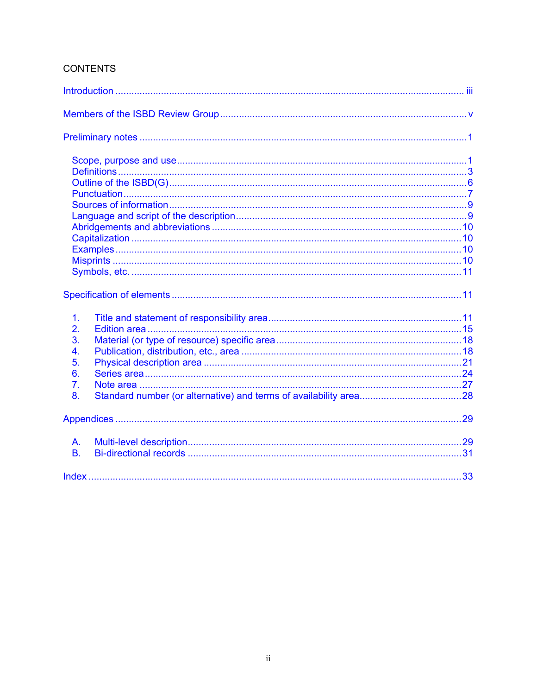# **CONTENTS**

| $\mathbf 1$ .<br>2.<br>3.<br>$\overline{4}$ .<br>5.<br>6.<br>$\overline{7}$ .<br>8. |  |
|-------------------------------------------------------------------------------------|--|
|                                                                                     |  |
| A.<br><b>B.</b>                                                                     |  |
|                                                                                     |  |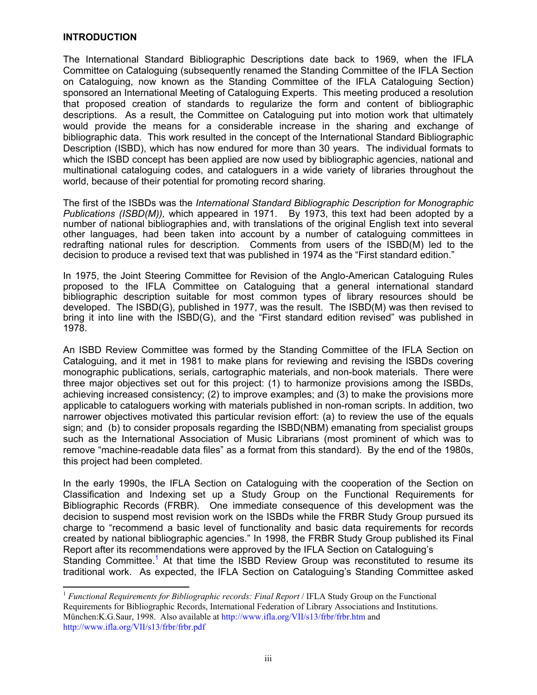#### <span id="page-2-2"></span><span id="page-2-0"></span>**INTRODUCTION**

 $\overline{a}$ 

The International Standard Bibliographic Descriptions date back to 1969, when the IFLA Committee on Cataloguing (subsequently renamed the Standing Committee of the IFLA Section on Cataloguing, now known as the Standing Committee of the IFLA Cataloguing Section) sponsored an International Meeting of Cataloguing Experts. This meeting produced a resolution that proposed creation of standards to regularize the form and content of bibliographic descriptions. As a result, the Committee on Cataloguing put into motion work that ultimately would provide the means for a considerable increase in the sharing and exchange of bibliographic data. This work resulted in the concept of the International Standard Bibliographic Description (ISBD), which has now endured for more than 30 years. The individual formats to which the ISBD concept has been applied are now used by bibliographic agencies, national and multinational cataloguing codes, and cataloguers in a wide variety of libraries throughout the world, because of their potential for promoting record sharing.

The first of the ISBDs was the *International Standard Bibliographic Description for Monographic Publications (ISBD(M)),* which appeared in 1971. By 1973, this text had been adopted by a number of national bibliographies and, with translations of the original English text into several other languages, had been taken into account by a number of cataloguing committees in redrafting national rules for description. Comments from users of the ISBD(M) led to the decision to produce a revised text that was published in 1974 as the "First standard edition."

In 1975, the Joint Steering Committee for Revision of the Anglo-American Cataloguing Rules proposed to the IFLA Committee on Cataloguing that a general international standard bibliographic description suitable for most common types of library resources should be developed. The ISBD(G), published in 1977, was the result. The ISBD(M) was then revised to bring it into line with the ISBD(G), and the "First standard edition revised" was published in 1978.

An ISBD Review Committee was formed by the Standing Committee of the IFLA Section on Cataloguing, and it met in 1981 to make plans for reviewing and revising the ISBDs covering monographic publications, serials, cartographic materials, and non-book materials. There were three major objectives set out for this project: (1) to harmonize provisions among the ISBDs, achieving increased consistency; (2) to improve examples; and (3) to make the provisions more applicable to cataloguers working with materials published in non-roman scripts. In addition, two narrower objectives motivated this particular revision effort: (a) to review the use of the equals sign; and (b) to consider proposals regarding the ISBD(NBM) emanating from specialist groups such as the International Association of Music Librarians (most prominent of which was to remove "machine-readable data files" as a format from this standard). By the end of the 1980s, this project had been completed.

In the early 1990s, the IFLA Section on Cataloguing with the cooperation of the Section on Classification and Indexing set up a Study Group on the Functional Requirements for Bibliographic Records (FRBR). One immediate consequence of this development was the decision to suspend most revision work on the ISBDs while the FRBR Study Group pursued its charge to "recommend a basic level of functionality and basic data requirements for records created by national bibliographic agencies." In 1998, the FRBR Study Group published its Final Report after its recommendations were approved by the IFLA Section on Cataloguing's Standing Committee.<sup>[1](#page-2-1)</sup> At that time the ISBD Review Group was reconstituted to resume its traditional work. As expected, the IFLA Section on Cataloguing's Standing Committee asked

<span id="page-2-1"></span><sup>&</sup>lt;sup>1</sup> Functional Requirements for Bibliographic records: *Final Report* / IFLA Study Group on the Functional Requirements for Bibliographic Records, International Federation of Library Associations and Institutions. München:K.G.Saur, 1998. Also available at <http://www.ifla.org/VII/s13/frbr/frbr.htm>and <http://www.ifla.org/VII/s13/frbr/frbr.pdf>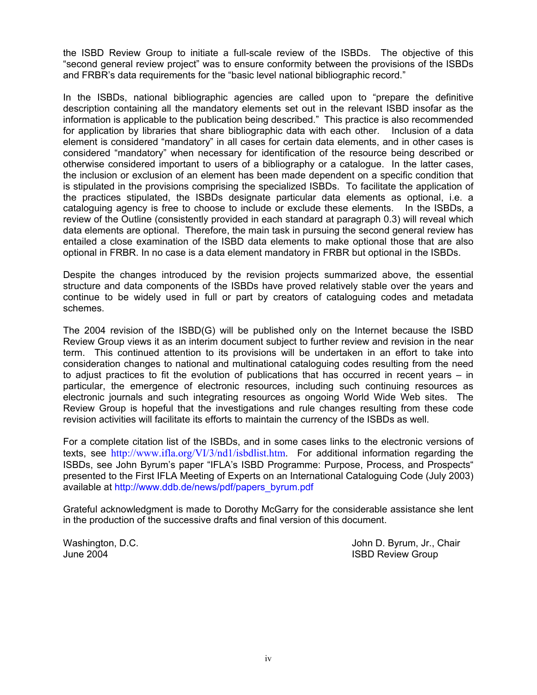the ISBD Review Group to initiate a full-scale review of the ISBDs. The objective of this "second general review project" was to ensure conformity between the provisions of the ISBDs and FRBR's data requirements for the "basic level national bibliographic record."

In the ISBDs, national bibliographic agencies are called upon to "prepare the definitive description containing all the mandatory elements set out in the relevant ISBD insofar as the information is applicable to the publication being described." This practice is also recommended for application by libraries that share bibliographic data with each other. Inclusion of a data element is considered "mandatory" in all cases for certain data elements, and in other cases is considered "mandatory" when necessary for identification of the resource being described or otherwise considered important to users of a bibliography or a catalogue. In the latter cases, the inclusion or exclusion of an element has been made dependent on a specific condition that is stipulated in the provisions comprising the specialized ISBDs. To facilitate the application of the practices stipulated, the ISBDs designate particular data elements as optional, i.e. a cataloguing agency is free to choose to include or exclude these elements. In the ISBDs, a review of the Outline (consistently provided in each standard at paragraph 0.3) will reveal which data elements are optional. Therefore, the main task in pursuing the second general review has entailed a close examination of the ISBD data elements to make optional those that are also optional in FRBR. In no case is a data element mandatory in FRBR but optional in the ISBDs.

Despite the changes introduced by the revision projects summarized above, the essential structure and data components of the ISBDs have proved relatively stable over the years and continue to be widely used in full or part by creators of cataloguing codes and metadata schemes.

The 2004 revision of the ISBD(G) will be published only on the Internet because the ISBD Review Group views it as an interim document subject to further review and revision in the near term. This continued attention to its provisions will be undertaken in an effort to take into consideration changes to national and multinational cataloguing codes resulting from the need to adjust practices to fit the evolution of publications that has occurred in recent years – in particular, the emergence of electronic resources, including such continuing resources as electronic journals and such integrating resources as ongoing World Wide Web sites. The Review Group is hopeful that the investigations and rule changes resulting from these code revision activities will facilitate its efforts to maintain the currency of the ISBDs as well.

For a complete citation list of the ISBDs, and in some cases links to the electronic versions of texts, see <http://www.ifla.org/VI/3/nd1/isbdlist.htm>. For additional information regarding the ISBDs, see John Byrum's paper "IFLA's ISBD Programme: Purpose, Process, and Prospects" presented to the First IFLA Meeting of Experts on an International Cataloguing Code (July 2003) available at [http://www.ddb.de/news/pdf/papers\\_byrum.pdf](http://www.ddb.de/news/pdf/papers_byrum.pdf)

Grateful acknowledgment is made to Dorothy McGarry for the considerable assistance she lent in the production of the successive drafts and final version of this document.

Washington, D.C. **John D. Byrum, Jr., Chair** June 2004 ISBD Review Group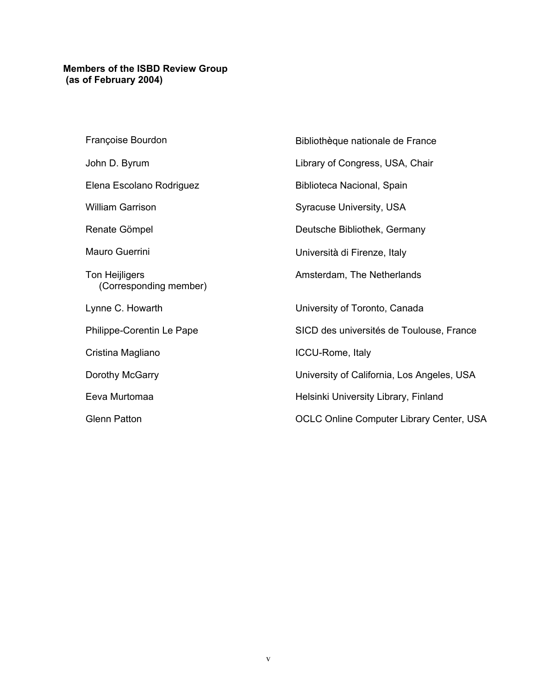# <span id="page-4-0"></span>**Members of the ISBD Review Group (as of February 2004)**

| Françoise Bourdon                        | Bibliothèque nationale de France                |
|------------------------------------------|-------------------------------------------------|
| John D. Byrum                            | Library of Congress, USA, Chair                 |
| Elena Escolano Rodriguez                 | Biblioteca Nacional, Spain                      |
| <b>William Garrison</b>                  | <b>Syracuse University, USA</b>                 |
| Renate Gömpel                            | Deutsche Bibliothek, Germany                    |
| Mauro Guerrini                           | Università di Firenze, Italy                    |
| Ton Heijligers<br>(Corresponding member) | Amsterdam, The Netherlands                      |
| Lynne C. Howarth                         | University of Toronto, Canada                   |
| Philippe-Corentin Le Pape                | SICD des universités de Toulouse, France        |
| Cristina Magliano                        | ICCU-Rome, Italy                                |
| Dorothy McGarry                          | University of California, Los Angeles, USA      |
| Eeva Murtomaa                            | Helsinki University Library, Finland            |
| <b>Glenn Patton</b>                      | <b>OCLC Online Computer Library Center, USA</b> |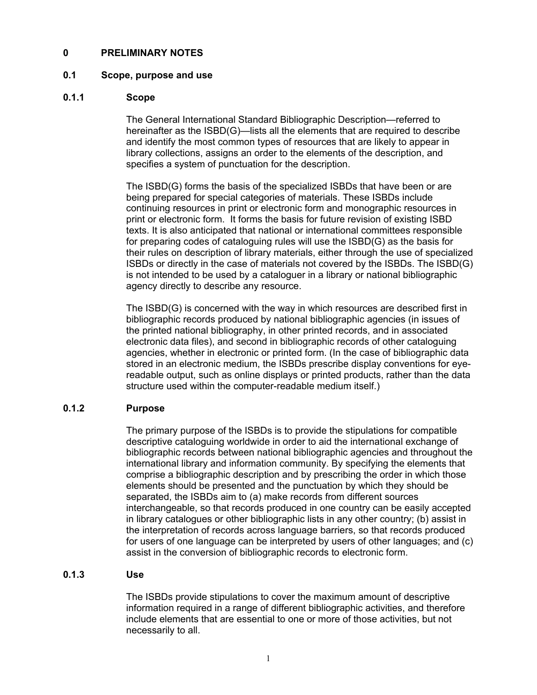# <span id="page-5-1"></span><span id="page-5-0"></span>**0 PRELIMINARY NOTES**

# **0.1 Scope, purpose and use**

# **0.1.1 Scope**

The General International Standard Bibliographic Description—referred to hereinafter as the ISBD(G)—lists all the elements that are required to describe and identify the most common types of resources that are likely to appear in library collections, assigns an order to the elements of the description, and specifies a system of punctuation for the description.

The ISBD(G) forms the basis of the specialized ISBDs that have been or are being prepared for special categories of materials. These ISBDs include continuing resources in print or electronic form and monographic resources in print or electronic form. It forms the basis for future revision of existing ISBD texts. It is also anticipated that national or international committees responsible for preparing codes of cataloguing rules will use the ISBD(G) as the basis for their rules on description of library materials, either through the use of specialized ISBDs or directly in the case of materials not covered by the ISBDs. The ISBD(G) is not intended to be used by a cataloguer in a library or national bibliographic agency directly to describe any resource.

The ISBD(G) is concerned with the way in which resources are described first in bibliographic records produced by national bibliographic agencies (in issues of the printed national bibliography, in other printed records, and in associated electronic data files), and second in bibliographic records of other cataloguing agencies, whether in electronic or printed form. (In the case of bibliographic data stored in an electronic medium, the ISBDs prescribe display conventions for eyereadable output, such as online displays or printed products, rather than the data structure used within the computer-readable medium itself.)

#### **0.1.2 Purpose**

The primary purpose of the ISBDs is to provide the stipulations for compatible descriptive cataloguing worldwide in order to aid the international exchange of bibliographic records between national bibliographic agencies and throughout the international library and information community. By specifying the elements that comprise a bibliographic description and by prescribing the order in which those elements should be presented and the punctuation by which they should be separated, the ISBDs aim to (a) make records from different sources interchangeable, so that records produced in one country can be easily accepted in library catalogues or other bibliographic lists in any other country; (b) assist in the interpretation of records across language barriers, so that records produced for users of one language can be interpreted by users of other languages; and (c) assist in the conversion of bibliographic records to electronic form.

# **0.1.3 Use**

The ISBDs provide stipulations to cover the maximum amount of descriptive information required in a range of different bibliographic activities, and therefore include elements that are essential to one or more of those activities, but not necessarily to all.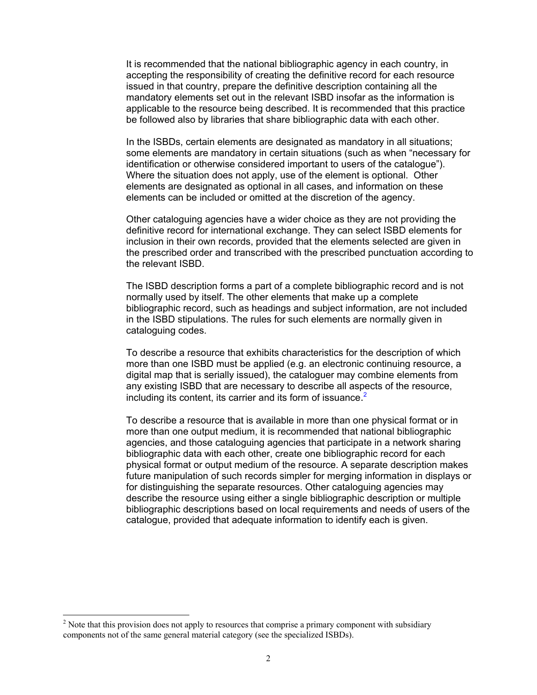It is recommended that the national bibliographic agency in each country, in accepting the responsibility of creating the definitive record for each resource issued in that country, prepare the definitive description containing all the mandatory elements set out in the relevant ISBD insofar as the information is applicable to the resource being described. It is recommended that this practice be followed also by libraries that share bibliographic data with each other.

In the ISBDs, certain elements are designated as mandatory in all situations; some elements are mandatory in certain situations (such as when "necessary for identification or otherwise considered important to users of the catalogue"). Where the situation does not apply, use of the element is optional. Other elements are designated as optional in all cases, and information on these elements can be included or omitted at the discretion of the agency.

Other cataloguing agencies have a wider choice as they are not providing the definitive record for international exchange. They can select ISBD elements for inclusion in their own records, provided that the elements selected are given in the prescribed order and transcribed with the prescribed punctuation according to the relevant ISBD.

The ISBD description forms a part of a complete bibliographic record and is not normally used by itself. The other elements that make up a complete bibliographic record, such as headings and subject information, are not included in the ISBD stipulations. The rules for such elements are normally given in cataloguing codes.

To describe a resource that exhibits characteristics for the description of which more than one ISBD must be applied (e.g. an electronic continuing resource, a digital map that is serially issued), the cataloguer may combine elements from any existing ISBD that are necessary to describe all aspects of the resource, including its content, its carrier and its form of issuance.<sup>[2](#page-6-0)</sup>

To describe a resource that is available in more than one physical format or in more than one output medium, it is recommended that national bibliographic agencies, and those cataloguing agencies that participate in a network sharing bibliographic data with each other, create one bibliographic record for each physical format or output medium of the resource. A separate description makes future manipulation of such records simpler for merging information in displays or for distinguishing the separate resources. Other cataloguing agencies may describe the resource using either a single bibliographic description or multiple bibliographic descriptions based on local requirements and needs of users of the catalogue, provided that adequate information to identify each is given.

<span id="page-6-0"></span> $\frac{1}{2}$  $2$  Note that this provision does not apply to resources that comprise a primary component with subsidiary components not of the same general material category (see the specialized ISBDs).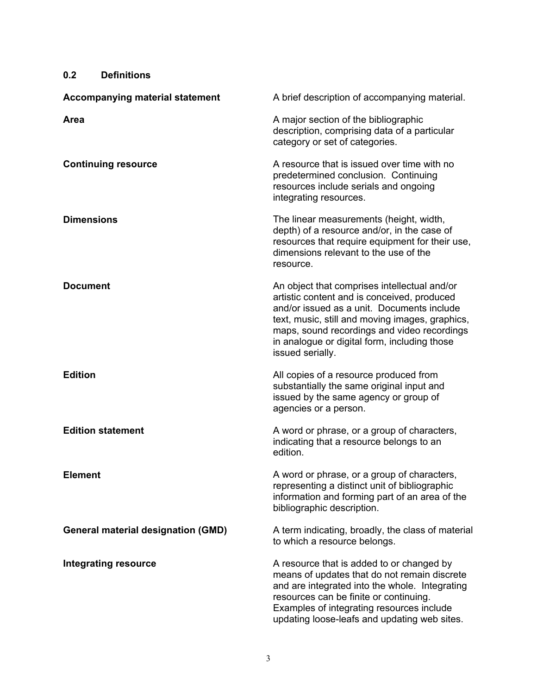<span id="page-7-1"></span><span id="page-7-0"></span>

| <b>Definitions</b><br>0.2                 |                                                                                                                                                                                                                                                                                                                 |
|-------------------------------------------|-----------------------------------------------------------------------------------------------------------------------------------------------------------------------------------------------------------------------------------------------------------------------------------------------------------------|
| <b>Accompanying material statement</b>    | A brief description of accompanying material.                                                                                                                                                                                                                                                                   |
| Area                                      | A major section of the bibliographic<br>description, comprising data of a particular<br>category or set of categories.                                                                                                                                                                                          |
| <b>Continuing resource</b>                | A resource that is issued over time with no<br>predetermined conclusion. Continuing<br>resources include serials and ongoing<br>integrating resources.                                                                                                                                                          |
| <b>Dimensions</b>                         | The linear measurements (height, width,<br>depth) of a resource and/or, in the case of<br>resources that require equipment for their use,<br>dimensions relevant to the use of the<br>resource.                                                                                                                 |
| <b>Document</b>                           | An object that comprises intellectual and/or<br>artistic content and is conceived, produced<br>and/or issued as a unit. Documents include<br>text, music, still and moving images, graphics,<br>maps, sound recordings and video recordings<br>in analogue or digital form, including those<br>issued serially. |
| <b>Edition</b>                            | All copies of a resource produced from<br>substantially the same original input and<br>issued by the same agency or group of<br>agencies or a person.                                                                                                                                                           |
| <b>Edition statement</b>                  | A word or phrase, or a group of characters,<br>indicating that a resource belongs to an<br>edition.                                                                                                                                                                                                             |
| <b>Element</b>                            | A word or phrase, or a group of characters,<br>representing a distinct unit of bibliographic<br>information and forming part of an area of the<br>bibliographic description.                                                                                                                                    |
| <b>General material designation (GMD)</b> | A term indicating, broadly, the class of material<br>to which a resource belongs.                                                                                                                                                                                                                               |
| <b>Integrating resource</b>               | A resource that is added to or changed by<br>means of updates that do not remain discrete<br>and are integrated into the whole. Integrating<br>resources can be finite or continuing.<br>Examples of integrating resources include<br>updating loose-leafs and updating web sites.                              |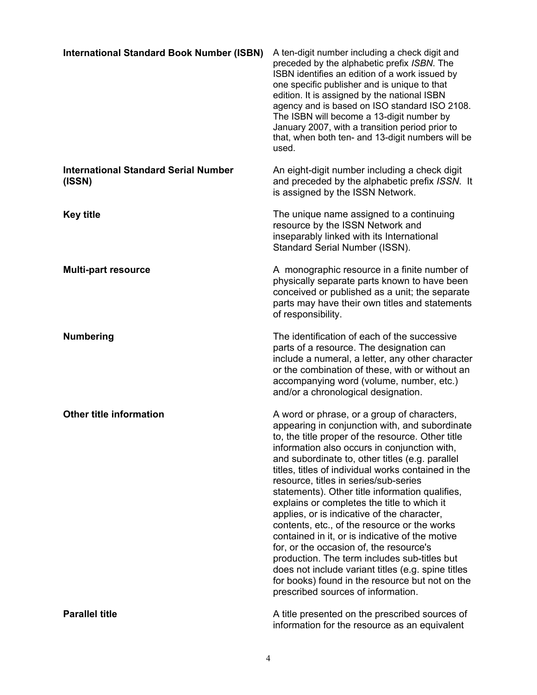<span id="page-8-0"></span>

| <b>International Standard Book Number (ISBN)</b>      | A ten-digit number including a check digit and<br>preceded by the alphabetic prefix ISBN. The<br>ISBN identifies an edition of a work issued by<br>one specific publisher and is unique to that<br>edition. It is assigned by the national ISBN<br>agency and is based on ISO standard ISO 2108.<br>The ISBN will become a 13-digit number by<br>January 2007, with a transition period prior to<br>that, when both ten- and 13-digit numbers will be<br>used.                                                                                                                                                                                                                                                                                                                                                                                      |
|-------------------------------------------------------|-----------------------------------------------------------------------------------------------------------------------------------------------------------------------------------------------------------------------------------------------------------------------------------------------------------------------------------------------------------------------------------------------------------------------------------------------------------------------------------------------------------------------------------------------------------------------------------------------------------------------------------------------------------------------------------------------------------------------------------------------------------------------------------------------------------------------------------------------------|
| <b>International Standard Serial Number</b><br>(ISSN) | An eight-digit number including a check digit<br>and preceded by the alphabetic prefix ISSN. It<br>is assigned by the ISSN Network.                                                                                                                                                                                                                                                                                                                                                                                                                                                                                                                                                                                                                                                                                                                 |
| <b>Key title</b>                                      | The unique name assigned to a continuing<br>resource by the ISSN Network and<br>inseparably linked with its International<br>Standard Serial Number (ISSN).                                                                                                                                                                                                                                                                                                                                                                                                                                                                                                                                                                                                                                                                                         |
| <b>Multi-part resource</b>                            | A monographic resource in a finite number of<br>physically separate parts known to have been<br>conceived or published as a unit; the separate<br>parts may have their own titles and statements<br>of responsibility.                                                                                                                                                                                                                                                                                                                                                                                                                                                                                                                                                                                                                              |
| <b>Numbering</b>                                      | The identification of each of the successive<br>parts of a resource. The designation can<br>include a numeral, a letter, any other character<br>or the combination of these, with or without an<br>accompanying word (volume, number, etc.)<br>and/or a chronological designation.                                                                                                                                                                                                                                                                                                                                                                                                                                                                                                                                                                  |
| <b>Other title information</b>                        | A word or phrase, or a group of characters,<br>appearing in conjunction with, and subordinate<br>to, the title proper of the resource. Other title<br>information also occurs in conjunction with,<br>and subordinate to, other titles (e.g. parallel<br>titles, titles of individual works contained in the<br>resource, titles in series/sub-series<br>statements). Other title information qualifies,<br>explains or completes the title to which it<br>applies, or is indicative of the character,<br>contents, etc., of the resource or the works<br>contained in it, or is indicative of the motive<br>for, or the occasion of, the resource's<br>production. The term includes sub-titles but<br>does not include variant titles (e.g. spine titles<br>for books) found in the resource but not on the<br>prescribed sources of information. |
| <b>Parallel title</b>                                 | A title presented on the prescribed sources of<br>information for the resource as an equivalent                                                                                                                                                                                                                                                                                                                                                                                                                                                                                                                                                                                                                                                                                                                                                     |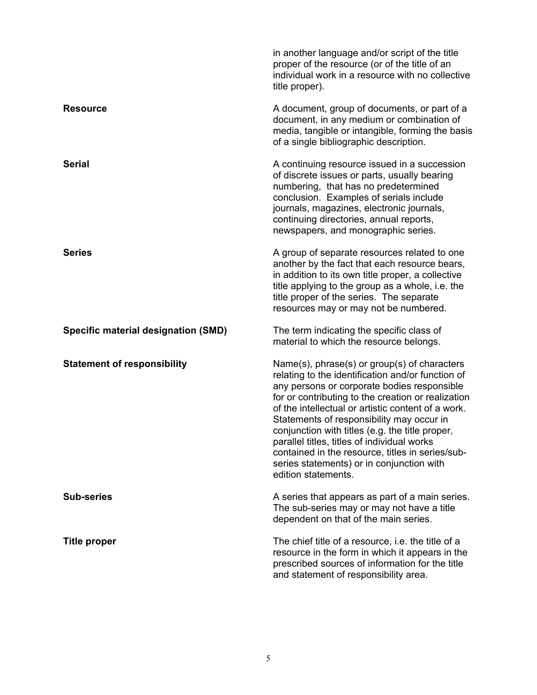|                                            | in another language and/or script of the title<br>proper of the resource (or of the title of an<br>individual work in a resource with no collective<br>title proper).                                                                                                                                                                                                                                                                                                                                                               |
|--------------------------------------------|-------------------------------------------------------------------------------------------------------------------------------------------------------------------------------------------------------------------------------------------------------------------------------------------------------------------------------------------------------------------------------------------------------------------------------------------------------------------------------------------------------------------------------------|
| <b>Resource</b>                            | A document, group of documents, or part of a<br>document, in any medium or combination of<br>media, tangible or intangible, forming the basis<br>of a single bibliographic description.                                                                                                                                                                                                                                                                                                                                             |
| <b>Serial</b>                              | A continuing resource issued in a succession<br>of discrete issues or parts, usually bearing<br>numbering, that has no predetermined<br>conclusion. Examples of serials include<br>journals, magazines, electronic journals,<br>continuing directories, annual reports,<br>newspapers, and monographic series.                                                                                                                                                                                                                      |
| <b>Series</b>                              | A group of separate resources related to one<br>another by the fact that each resource bears,<br>in addition to its own title proper, a collective<br>title applying to the group as a whole, i.e. the<br>title proper of the series. The separate<br>resources may or may not be numbered.                                                                                                                                                                                                                                         |
| <b>Specific material designation (SMD)</b> | The term indicating the specific class of<br>material to which the resource belongs.                                                                                                                                                                                                                                                                                                                                                                                                                                                |
| <b>Statement of responsibility</b>         | Name(s), phrase(s) or group(s) of characters<br>relating to the identification and/or function of<br>any persons or corporate bodies responsible<br>for or contributing to the creation or realization<br>of the intellectual or artistic content of a work.<br>Statements of responsibility may occur in<br>conjunction with titles (e.g. the title proper,<br>parallel titles, titles of individual works<br>contained in the resource, titles in series/sub-<br>series statements) or in conjunction with<br>edition statements. |
| <b>Sub-series</b>                          | A series that appears as part of a main series.<br>The sub-series may or may not have a title<br>dependent on that of the main series.                                                                                                                                                                                                                                                                                                                                                                                              |
| <b>Title proper</b>                        | The chief title of a resource, i.e. the title of a<br>resource in the form in which it appears in the<br>prescribed sources of information for the title<br>and statement of responsibility area.                                                                                                                                                                                                                                                                                                                                   |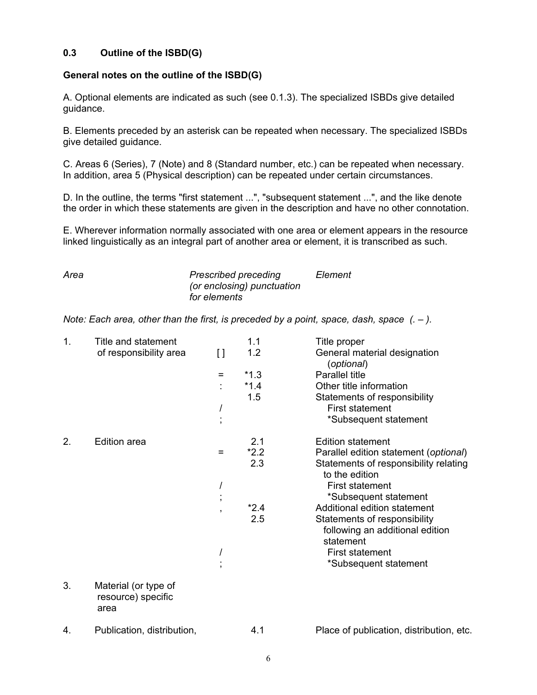# <span id="page-10-1"></span><span id="page-10-0"></span>**0.3 Outline of the ISBD(G)**

# **General notes on the outline of the ISBD(G)**

A. Optional elements are indicated as such (see 0.1.3). The specialized ISBDs give detailed guidance.

B. Elements preceded by an asterisk can be repeated when necessary. The specialized ISBDs give detailed guidance.

C. Areas 6 (Series), 7 (Note) and 8 (Standard number, etc.) can be repeated when necessary. In addition, area 5 (Physical description) can be repeated under certain circumstances.

D. In the outline, the terms "first statement ...", "subsequent statement ...", and the like denote the order in which these statements are given in the description and have no other connotation.

E. Wherever information normally associated with one area or element appears in the resource linked linguistically as an integral part of another area or element, it is transcribed as such.

| Area | <b>Prescribed preceding</b> | Element |  |
|------|-----------------------------|---------|--|
|      | (or enclosing) punctuation  |         |  |
|      | for elements                |         |  |

*Note: Each area, other than the first, is preceded by a point, space, dash, space (. – ).* 

| 1. | Title and statement        |                          | 1.1    | Title proper                                            |
|----|----------------------------|--------------------------|--------|---------------------------------------------------------|
|    | of responsibility area     | []                       | 1.2    | General material designation<br>(optional)              |
|    |                            | $\equiv$                 | $*1.3$ | Parallel title                                          |
|    |                            |                          | $*1.4$ | Other title information                                 |
|    |                            |                          | 1.5    | Statements of responsibility                            |
|    |                            | I                        |        | <b>First statement</b>                                  |
|    |                            | $\overline{ }$           |        | *Subsequent statement                                   |
| 2. | <b>Edition area</b>        |                          | 2.1    | <b>Edition statement</b>                                |
|    |                            | $=$                      | $*2.2$ | Parallel edition statement (optional)                   |
|    |                            |                          | 2.3    | Statements of responsibility relating<br>to the edition |
|    |                            |                          |        | <b>First statement</b>                                  |
|    |                            | $\overline{ }$           |        | *Subsequent statement                                   |
|    |                            | $\overline{\phantom{a}}$ | $*2.4$ | Additional edition statement                            |
|    |                            |                          | 2.5    | Statements of responsibility                            |
|    |                            |                          |        | following an additional edition                         |
|    |                            |                          |        | statement                                               |
|    |                            |                          |        | <b>First statement</b>                                  |
|    |                            |                          |        | *Subsequent statement                                   |
| 3. | Material (or type of       |                          |        |                                                         |
|    | resource) specific<br>area |                          |        |                                                         |
| 4. | Publication, distribution, |                          | 4.1    | Place of publication, distribution, etc.                |
|    |                            |                          |        |                                                         |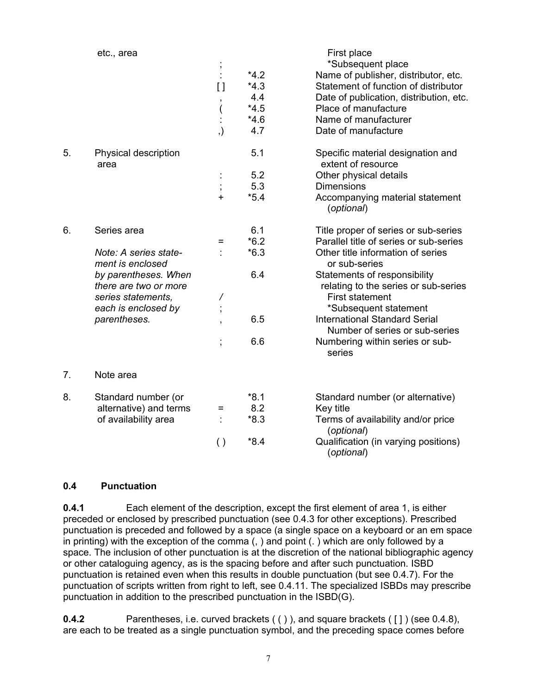<span id="page-11-1"></span><span id="page-11-0"></span>

|    | etc., area                                    | $\pmb{\cdot}$<br>$\lbrack \, \rbrack$<br>$\pmb{\mathfrak{z}}$<br>(<br>, ) | $*4.2$<br>$*4.3$<br>4.4<br>$*4.5$<br>$*4.6$<br>4.7 | First place<br>*Subsequent place<br>Name of publisher, distributor, etc.<br>Statement of function of distributor<br>Date of publication, distribution, etc.<br>Place of manufacture<br>Name of manufacturer<br>Date of manufacture |
|----|-----------------------------------------------|---------------------------------------------------------------------------|----------------------------------------------------|------------------------------------------------------------------------------------------------------------------------------------------------------------------------------------------------------------------------------------|
|    |                                               |                                                                           |                                                    |                                                                                                                                                                                                                                    |
| 5. | Physical description<br>area                  |                                                                           | 5.1                                                | Specific material designation and<br>extent of resource                                                                                                                                                                            |
|    |                                               |                                                                           | 5.2                                                | Other physical details                                                                                                                                                                                                             |
|    |                                               | $\vdots$                                                                  | 5.3                                                | <b>Dimensions</b>                                                                                                                                                                                                                  |
|    |                                               | $\ddot{}$                                                                 | $*5.4$                                             | Accompanying material statement<br>(optional)                                                                                                                                                                                      |
| 6. | Series area                                   |                                                                           | 6.1                                                | Title proper of series or sub-series                                                                                                                                                                                               |
|    |                                               | =                                                                         | $*6.2$                                             | Parallel title of series or sub-series                                                                                                                                                                                             |
|    | Note: A series state-<br>ment is enclosed     |                                                                           | $*6.3$                                             | Other title information of series<br>or sub-series                                                                                                                                                                                 |
|    | by parentheses. When<br>there are two or more |                                                                           | 6.4                                                | Statements of responsibility<br>relating to the series or sub-series                                                                                                                                                               |
|    | series statements,                            | Τ                                                                         |                                                    | <b>First statement</b>                                                                                                                                                                                                             |
|    | each is enclosed by                           |                                                                           |                                                    | *Subsequent statement                                                                                                                                                                                                              |
|    | parentheses.                                  |                                                                           | 6.5                                                | <b>International Standard Serial</b><br>Number of series or sub-series                                                                                                                                                             |
|    |                                               | $\vdots$                                                                  | 6.6                                                | Numbering within series or sub-<br>series                                                                                                                                                                                          |
| 7. | Note area                                     |                                                                           |                                                    |                                                                                                                                                                                                                                    |
| 8. | Standard number (or                           |                                                                           | $*8.1$                                             | Standard number (or alternative)                                                                                                                                                                                                   |
|    | alternative) and terms                        | =                                                                         | 8.2                                                | Key title                                                                                                                                                                                                                          |
|    | of availability area                          |                                                                           | $*8.3$                                             | Terms of availability and/or price<br>(optional)                                                                                                                                                                                   |
|    |                                               | $\left( \ \right)$                                                        | $*8.4$                                             | Qualification (in varying positions)<br>(optional)                                                                                                                                                                                 |

# **0.4 Punctuation**

**0.4.1 Each element of the description, except the first element of area 1, is either** preceded or enclosed by prescribed punctuation (see 0.4.3 for other exceptions). Prescribed punctuation is preceded and followed by a space (a single space on a keyboard or an em space in printing) with the exception of the comma (, ) and point (. ) which are only followed by a space. The inclusion of other punctuation is at the discretion of the national bibliographic agency or other cataloguing agency, as is the spacing before and after such punctuation. ISBD punctuation is retained even when this results in double punctuation (but see 0.4.7). For the punctuation of scripts written from right to left, see 0.4.11. The specialized ISBDs may prescribe punctuation in addition to the prescribed punctuation in the ISBD(G).

**0.4.2** Parentheses, i.e. curved brackets (()), and square brackets ([]) (see 0.4.8), are each to be treated as a single punctuation symbol, and the preceding space comes before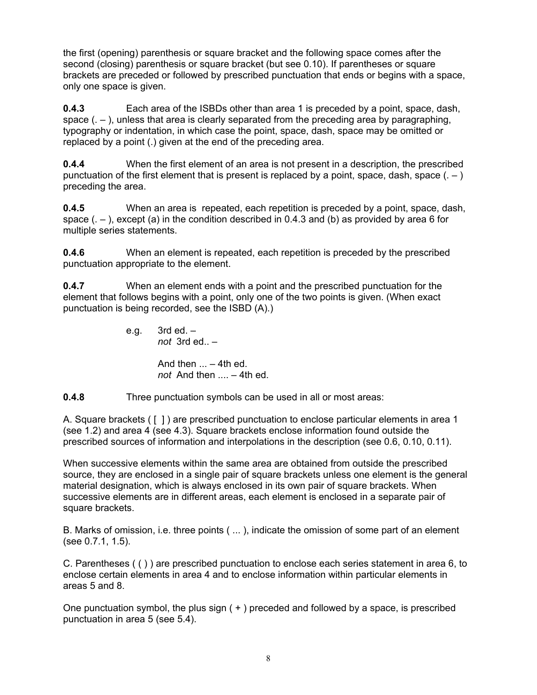<span id="page-12-0"></span>the first (opening) parenthesis or square bracket and the following space comes after the second (closing) parenthesis or square bracket (but see 0.10). If parentheses or square brackets are preceded or followed by prescribed punctuation that ends or begins with a space, only one space is given.

**0.4.3** Each area of the ISBDs other than area 1 is preceded by a point, space, dash, space  $($ .  $-$  ), unless that area is clearly separated from the preceding area by paragraphing, typography or indentation, in which case the point, space, dash, space may be omitted or replaced by a point (.) given at the end of the preceding area.

**0.4.4** When the first element of an area is not present in a description, the prescribed punctuation of the first element that is present is replaced by a point, space, dash, space  $(.-)$ preceding the area.

**0.4.5** When an area is repeated, each repetition is preceded by a point, space, dash, space  $(.-)$ , except  $(a)$  in the condition described in 0.4.3 and  $(b)$  as provided by area 6 for multiple series statements.

**0.4.6** When an element is repeated, each repetition is preceded by the prescribed punctuation appropriate to the element.

**0.4.7** When an element ends with a point and the prescribed punctuation for the element that follows begins with a point, only one of the two points is given. (When exact punctuation is being recorded, see the ISBD (A).)

> e.g.  $3rd$  ed.  $$  *not* 3rd ed.. – And then  $\ldots$  – 4th ed. *not* And then .... – 4th ed.

**0.4.8** Three punctuation symbols can be used in all or most areas:

A. Square brackets ( [ ] ) are prescribed punctuation to enclose particular elements in area 1 (see 1.2) and area 4 (see 4.3). Square brackets enclose information found outside the prescribed sources of information and interpolations in the description (see 0.6, 0.10, 0.11).

When successive elements within the same area are obtained from outside the prescribed source, they are enclosed in a single pair of square brackets unless one element is the general material designation, which is always enclosed in its own pair of square brackets. When successive elements are in different areas, each element is enclosed in a separate pair of square brackets.

B. Marks of omission, i.e. three points ( ... ), indicate the omission of some part of an element (see 0.7.1, 1.5).

C. Parentheses ( ( ) ) are prescribed punctuation to enclose each series statement in area 6, to enclose certain elements in area 4 and to enclose information within particular elements in areas 5 and 8.

One punctuation symbol, the plus sign ( + ) preceded and followed by a space, is prescribed punctuation in area 5 (see 5.4).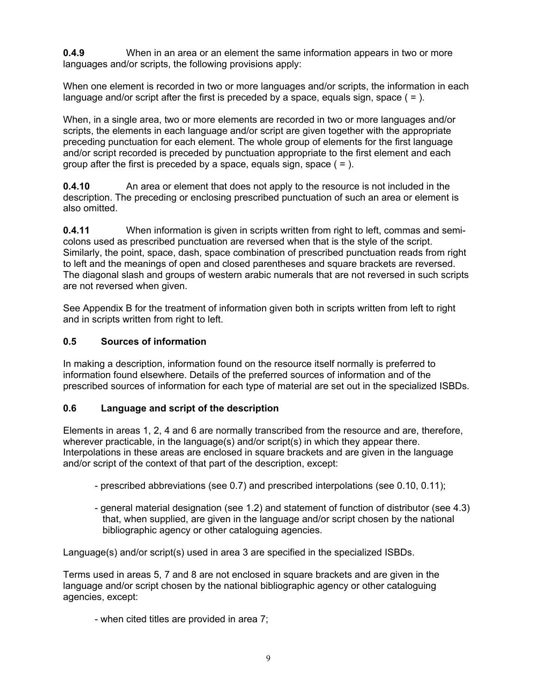<span id="page-13-1"></span><span id="page-13-0"></span>**0.4.9** When in an area or an element the same information appears in two or more languages and/or scripts, the following provisions apply:

When one element is recorded in two or more languages and/or scripts, the information in each language and/or script after the first is preceded by a space, equals sign, space ( $=$ ).

When, in a single area, two or more elements are recorded in two or more languages and/or scripts, the elements in each language and/or script are given together with the appropriate preceding punctuation for each element. The whole group of elements for the first language and/or script recorded is preceded by punctuation appropriate to the first element and each group after the first is preceded by a space, equals sign, space  $( = ).$ 

**0.4.10** An area or element that does not apply to the resource is not included in the description. The preceding or enclosing prescribed punctuation of such an area or element is also omitted.

**0.4.11** When information is given in scripts written from right to left, commas and semicolons used as prescribed punctuation are reversed when that is the style of the script. Similarly, the point, space, dash, space combination of prescribed punctuation reads from right to left and the meanings of open and closed parentheses and square brackets are reversed. The diagonal slash and groups of western arabic numerals that are not reversed in such scripts are not reversed when given.

See Appendix B for the treatment of information given both in scripts written from left to right and in scripts written from right to left.

# **0.5 Sources of information**

In making a description, information found on the resource itself normally is preferred to information found elsewhere. Details of the preferred sources of information and of the prescribed sources of information for each type of material are set out in the specialized ISBDs.

# **0.6 Language and script of the description**

Elements in areas 1, 2, 4 and 6 are normally transcribed from the resource and are, therefore, wherever practicable, in the language(s) and/or script(s) in which they appear there. Interpolations in these areas are enclosed in square brackets and are given in the language and/or script of the context of that part of the description, except:

- prescribed abbreviations (see 0.7) and prescribed interpolations (see 0.10, 0.11);
- general material designation (see 1.2) and statement of function of distributor (see 4.3) that, when supplied, are given in the language and/or script chosen by the national bibliographic agency or other cataloguing agencies.

Language(s) and/or script(s) used in area 3 are specified in the specialized ISBDs.

Terms used in areas 5, 7 and 8 are not enclosed in square brackets and are given in the language and/or script chosen by the national bibliographic agency or other cataloguing agencies, except:

- when cited titles are provided in area 7;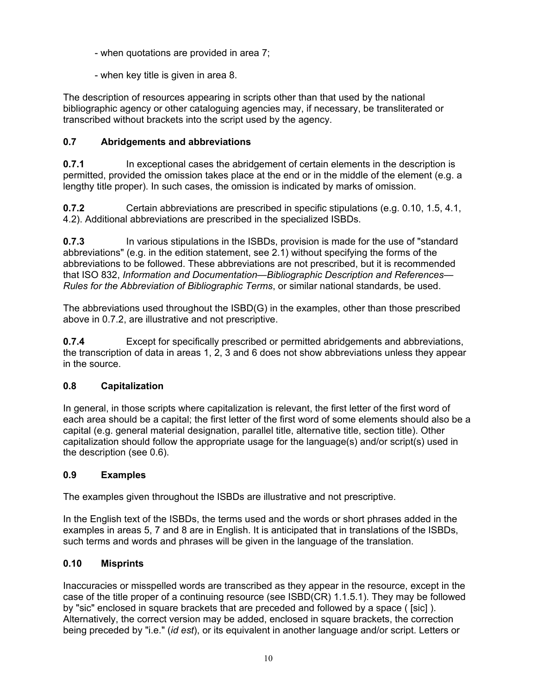- <span id="page-14-1"></span><span id="page-14-0"></span>- when quotations are provided in area 7;
- when key title is given in area 8.

The description of resources appearing in scripts other than that used by the national bibliographic agency or other cataloguing agencies may, if necessary, be transliterated or transcribed without brackets into the script used by the agency.

# **0.7 Abridgements and abbreviations**

**0.7.1** In exceptional cases the abridgement of certain elements in the description is permitted, provided the omission takes place at the end or in the middle of the element (e.g. a lengthy title proper). In such cases, the omission is indicated by marks of omission.

**0.7.2** Certain abbreviations are prescribed in specific stipulations (e.g. 0.10, 1.5, 4.1, 4.2). Additional abbreviations are prescribed in the specialized ISBDs.

**0.7.3** In various stipulations in the ISBDs, provision is made for the use of "standard abbreviations" (e.g. in the edition statement, see 2.1) without specifying the forms of the abbreviations to be followed. These abbreviations are not prescribed, but it is recommended that ISO 832, *Information and Documentation—Bibliographic Description and References— Rules for the Abbreviation of Bibliographic Terms*, or similar national standards, be used.

The abbreviations used throughout the ISBD(G) in the examples, other than those prescribed above in 0.7.2, are illustrative and not prescriptive.

**0.7.4** Except for specifically prescribed or permitted abridgements and abbreviations, the transcription of data in areas 1, 2, 3 and 6 does not show abbreviations unless they appear in the source.

# **0.8 Capitalization**

In general, in those scripts where capitalization is relevant, the first letter of the first word of each area should be a capital; the first letter of the first word of some elements should also be a capital (e.g. general material designation, parallel title, alternative title, section title). Other capitalization should follow the appropriate usage for the language(s) and/or script(s) used in the description (see 0.6).

# **0.9 Examples**

The examples given throughout the ISBDs are illustrative and not prescriptive.

In the English text of the ISBDs, the terms used and the words or short phrases added in the examples in areas 5, 7 and 8 are in English. It is anticipated that in translations of the ISBDs, such terms and words and phrases will be given in the language of the translation.

# **0.10 Misprints**

Inaccuracies or misspelled words are transcribed as they appear in the resource, except in the case of the title proper of a continuing resource (see ISBD(CR) 1.1.5.1). They may be followed by "sic" enclosed in square brackets that are preceded and followed by a space ( [sic] ). Alternatively, the correct version may be added, enclosed in square brackets, the correction being preceded by "i.e." (*id est*), or its equivalent in another language and/or script. Letters or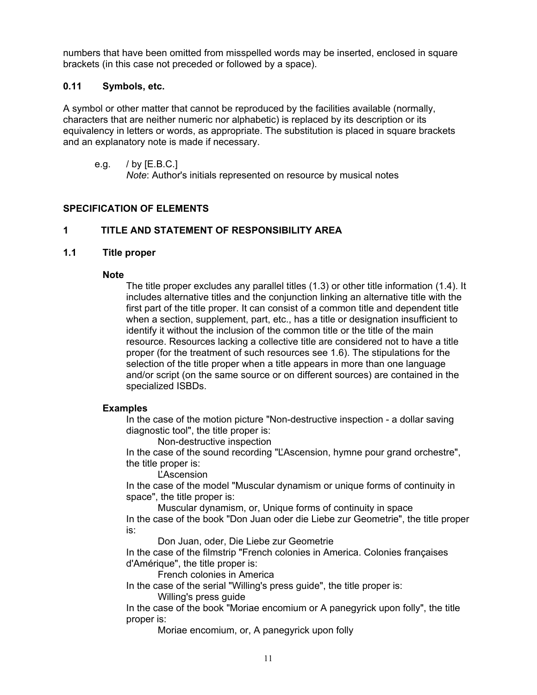<span id="page-15-1"></span><span id="page-15-0"></span>numbers that have been omitted from misspelled words may be inserted, enclosed in square brackets (in this case not preceded or followed by a space).

# **0.11 Symbols, etc.**

A symbol or other matter that cannot be reproduced by the facilities available (normally, characters that are neither numeric nor alphabetic) is replaced by its description or its equivalency in letters or words, as appropriate. The substitution is placed in square brackets and an explanatory note is made if necessary.

e.g. / by [E.B.C.]

*Note*: Author's initials represented on resource by musical notes

# **SPECIFICATION OF ELEMENTS**

# **1 TITLE AND STATEMENT OF RESPONSIBILITY AREA**

# **1.1 Title proper**

#### **Note**

The title proper excludes any parallel titles (1.3) or other title information (1.4). It includes alternative titles and the conjunction linking an alternative title with the first part of the title proper. It can consist of a common title and dependent title when a section, supplement, part, etc., has a title or designation insufficient to identify it without the inclusion of the common title or the title of the main resource. Resources lacking a collective title are considered not to have a title proper (for the treatment of such resources see 1.6). The stipulations for the selection of the title proper when a title appears in more than one language and/or script (on the same source or on different sources) are contained in the specialized ISBDs.

# **Examples**

In the case of the motion picture "Non-destructive inspection - a dollar saving diagnostic tool", the title proper is:

Non-destructive inspection

In the case of the sound recording "ĽAscension, hymne pour grand orchestre", the title proper is:

ĽAscension

In the case of the model "Muscular dynamism or unique forms of continuity in space", the title proper is:

Muscular dynamism, or, Unique forms of continuity in space In the case of the book "Don Juan oder die Liebe zur Geometrie", the title proper is:

Don Juan, oder, Die Liebe zur Geometrie

In the case of the filmstrip "French colonies in America. Colonies françaises d'Amérique", the title proper is:

French colonies in America

In the case of the serial "Willing's press guide", the title proper is:

Willing's press guide

In the case of the book "Moriae encomium or A panegyrick upon folly", the title proper is:

Moriae encomium, or, A panegyrick upon folly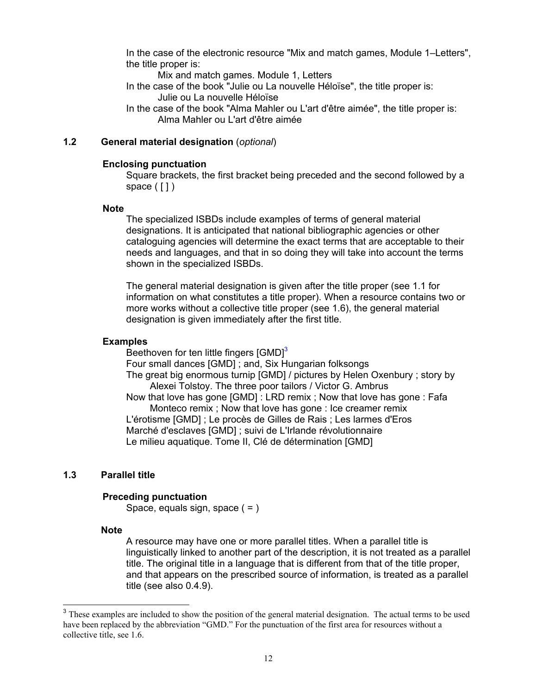<span id="page-16-1"></span>In the case of the electronic resource "Mix and match games, Module 1–Letters", the title proper is:

Mix and match games. Module 1, Letters

- In the case of the book "Julie ou La nouvelle Héloïse", the title proper is: Julie ou La nouvelle Héloïse
- In the case of the book "Alma Mahler ou L'art d'être aimée", the title proper is: Alma Mahler ou L'art d'être aimée

# **1.2 General material designation** (*optional*)

#### **Enclosing punctuation**

Square brackets, the first bracket being preceded and the second followed by a space  $(1)$ 

#### **Note**

The specialized ISBDs include examples of terms of general material designations. It is anticipated that national bibliographic agencies or other cataloguing agencies will determine the exact terms that are acceptable to their needs and languages, and that in so doing they will take into account the terms shown in the specialized ISBDs.

The general material designation is given after the title proper (see 1.1 for information on what constitutes a title proper). When a resource contains two or more works without a collective title proper (see 1.6), the general material designation is given immediately after the first title.

#### **Examples**

Beethoven for ten little fingers  $[GMD]$ <sup>[3](#page-16-0)</sup> Four small dances [GMD] ; and, Six Hungarian folksongs The great big enormous turnip [GMD] / pictures by Helen Oxenbury ; story by Alexei Tolstoy. The three poor tailors / Victor G. Ambrus Now that love has gone [GMD] : LRD remix ; Now that love has gone : Fafa Monteco remix ; Now that love has gone : Ice creamer remix L'érotisme [GMD] ; Le procès de Gilles de Rais ; Les larmes d'Eros Marché d'esclaves [GMD] ; suivi de L'Irlande révolutionnaire Le milieu aquatique. Tome II, Clé de détermination [GMD]

#### **1.3 Parallel title**

#### **Preceding punctuation**

Space, equals sign, space ( = )

#### **Note**

A resource may have one or more parallel titles. When a parallel title is linguistically linked to another part of the description, it is not treated as a parallel title. The original title in a language that is different from that of the title proper, and that appears on the prescribed source of information, is treated as a parallel title (see also 0.4.9).

<span id="page-16-0"></span><sup>&</sup>lt;sup>3</sup> These examples are included to show the position of the general material designation. The actual terms to be used have been replaced by the abbreviation "GMD." For the punctuation of the first area for resources without a collective title, see 1.6.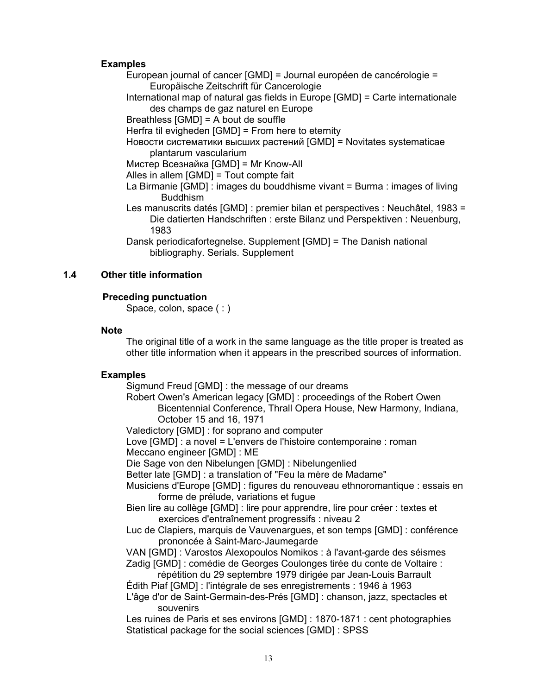### <span id="page-17-0"></span> **Examples**

European journal of cancer [GMD] = Journal européen de cancérologie = Europäische Zeitschrift für Cancerologie

International map of natural gas fields in Europe [GMD] = Carte internationale des champs de gaz naturel en Europe

Breathless [GMD] = A bout de souffle

Herfra til evigheden [GMD] = From here to eternity

Новости систематики высших растений [GMD] = Novitates systematicae plantarum vascularium

Мистер Всезнайка [GMD] = Mr Know-All

Alles in allem [GMD] = Tout compte fait

La Birmanie [GMD] : images du bouddhisme vivant = Burma : images of living Buddhism

Les manuscrits datés [GMD] : premier bilan et perspectives : Neuchâtel, 1983 = Die datierten Handschriften : erste Bilanz und Perspektiven : Neuenburg, 1983

Dansk periodicafortegnelse. Supplement [GMD] = The Danish national bibliography. Serials. Supplement

# **1.4 Other title information**

# **Preceding punctuation**

Space, colon, space  $( : )$ 

#### **Note**

The original title of a work in the same language as the title proper is treated as other title information when it appears in the prescribed sources of information.

#### **Examples**

Sigmund Freud [GMD] : the message of our dreams

- Robert Owen's American legacy [GMD] : proceedings of the Robert Owen Bicentennial Conference, Thrall Opera House, New Harmony, Indiana, October 15 and 16, 1971
- Valedictory [GMD] : for soprano and computer

Love [GMD] : a novel = L'envers de l'histoire contemporaine : roman Meccano engineer [GMD] : ME

Die Sage von den Nibelungen [GMD] : Nibelungenlied

Better late [GMD] : a translation of "Feu la mère de Madame"

Musiciens d'Europe [GMD] : figures du renouveau ethnoromantique : essais en forme de prélude, variations et fugue

Bien lire au collège [GMD] : lire pour apprendre, lire pour créer : textes et exercices d'entraînement progressifs : niveau 2

Luc de Clapiers, marquis de Vauvenargues, et son temps [GMD] : conférence prononcée à Saint-Marc-Jaumegarde

VAN [GMD] : Varostos Alexopoulos Nomikos : à l'avant-garde des séismes Zadig [GMD] : comédie de Georges Coulonges tirée du conte de Voltaire :

répétition du 29 septembre 1979 dirigée par Jean-Louis Barrault Édith Piaf [GMD] : l'intégrale de ses enregistrements : 1946 à 1963

L'âge d'or de Saint-Germain-des-Prés [GMD] : chanson, jazz, spectacles et souvenirs

Les ruines de Paris et ses environs [GMD] : 1870-1871 : cent photographies Statistical package for the social sciences [GMD] : SPSS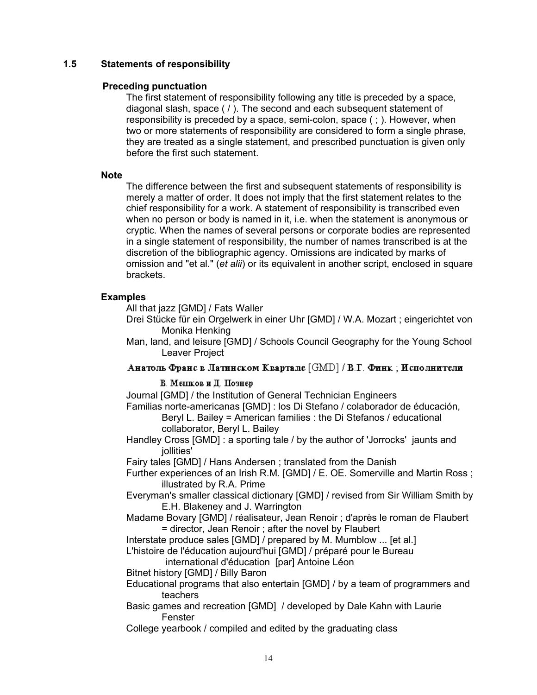# <span id="page-18-0"></span>**1.5 Statements of responsibility**

#### **Preceding punctuation**

The first statement of responsibility following any title is preceded by a space, diagonal slash, space ( / ). The second and each subsequent statement of responsibility is preceded by a space, semi-colon, space ( ; ). However, when two or more statements of responsibility are considered to form a single phrase, they are treated as a single statement, and prescribed punctuation is given only before the first such statement.

#### **Note**

The difference between the first and subsequent statements of responsibility is merely a matter of order. It does not imply that the first statement relates to the chief responsibility for a work. A statement of responsibility is transcribed even when no person or body is named in it, i.e. when the statement is anonymous or cryptic. When the names of several persons or corporate bodies are represented in a single statement of responsibility, the number of names transcribed is at the discretion of the bibliographic agency. Omissions are indicated by marks of omission and "et al." (*et alii*) or its equivalent in another script, enclosed in square brackets.

# **Examples**

All that jazz [GMD] / Fats Waller

- Drei Stücke für ein Orgelwerk in einer Uhr [GMD] / W.A. Mozart ; eingerichtet von Monika Henking
- Man, land, and leisure [GMD] / Schools Council Geography for the Young School Leaver Project

Анатоль Франс в Латинском Квартале [GMD] / В.Г. Финк; Исполнители

# В. Менков и Д. Познер

Journal [GMD] / the Institution of General Technician Engineers

Familias norte-americanas [GMD] : los Di Stefano / colaborador de éducación, Beryl L. Bailey = American families : the Di Stefanos / educational

collaborator, Beryl L. Bailey

Handley Cross [GMD] : a sporting tale / by the author of 'Jorrocks' jaunts and iollities'

Fairy tales [GMD] / Hans Andersen ; translated from the Danish

- Further experiences of an Irish R.M. [GMD] / E. OE. Somerville and Martin Ross ; illustrated by R.A. Prime
- Everyman's smaller classical dictionary [GMD] / revised from Sir William Smith by E.H. Blakeney and J. Warrington
- Madame Bovary [GMD] / réalisateur, Jean Renoir ; d'après le roman de Flaubert = director, Jean Renoir ; after the novel by Flaubert

Interstate produce sales [GMD] / prepared by M. Mumblow ... [et al.]

L'histoire de l'éducation aujourd'hui [GMD] / préparé pour le Bureau

international d'éducation [par] Antoine Léon

Bitnet history [GMD] / Billy Baron

- Educational programs that also entertain [GMD] / by a team of programmers and teachers
- Basic games and recreation [GMD] / developed by Dale Kahn with Laurie Fenster

College yearbook / compiled and edited by the graduating class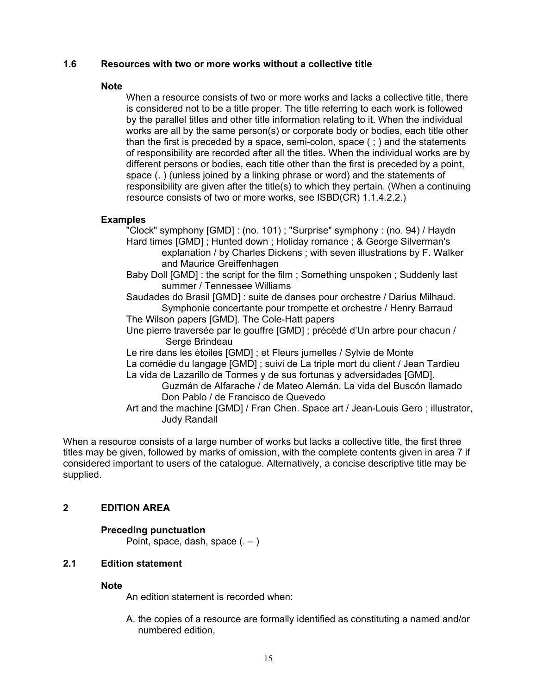# <span id="page-19-1"></span><span id="page-19-0"></span>**1.6 Resources with two or more works without a collective title**

#### **Note**

When a resource consists of two or more works and lacks a collective title, there is considered not to be a title proper. The title referring to each work is followed by the parallel titles and other title information relating to it. When the individual works are all by the same person(s) or corporate body or bodies, each title other than the first is preceded by a space, semi-colon, space ( ; ) and the statements of responsibility are recorded after all the titles. When the individual works are by different persons or bodies, each title other than the first is preceded by a point, space (. ) (unless joined by a linking phrase or word) and the statements of responsibility are given after the title(s) to which they pertain. (When a continuing resource consists of two or more works, see ISBD(CR) 1.1.4.2.2.)

# **Examples**

"Clock" symphony [GMD] : (no. 101) ; "Surprise" symphony : (no. 94) / Haydn Hard times [GMD] ; Hunted down ; Holiday romance ; & George Silverman's explanation / by Charles Dickens ; with seven illustrations by F. Walker and Maurice Greiffenhagen

Baby Doll [GMD] : the script for the film ; Something unspoken ; Suddenly last summer / Tennessee Williams

Saudades do Brasil [GMD] : suite de danses pour orchestre / Darius Milhaud. Symphonie concertante pour trompette et orchestre / Henry Barraud The Wilson papers [GMD]. The Cole-Hatt papers

Une pierre traversée par le gouffre [GMD] ; précédé d'Un arbre pour chacun / Serge Brindeau

Le rire dans les étoiles [GMD] ; et Fleurs jumelles / Sylvie de Monte

La comédie du langage [GMD] ; suivi de La triple mort du client / Jean Tardieu La vida de Lazarillo de Tormes y de sus fortunas y adversidades [GMD].

Guzmán de Alfarache / de Mateo Alemán. La vida del Buscón llamado Don Pablo / de Francisco de Quevedo

Art and the machine [GMD] / Fran Chen. Space art / Jean-Louis Gero ; illustrator, Judy Randall

When a resource consists of a large number of works but lacks a collective title, the first three titles may be given, followed by marks of omission, with the complete contents given in area 7 if considered important to users of the catalogue. Alternatively, a concise descriptive title may be supplied.

# **2 EDITION AREA**

# **Preceding punctuation**

Point, space, dash, space  $(.-)$ 

# **2.1 Edition statement**

#### **Note**

An edition statement is recorded when:

A. the copies of a resource are formally identified as constituting a named and/or numbered edition,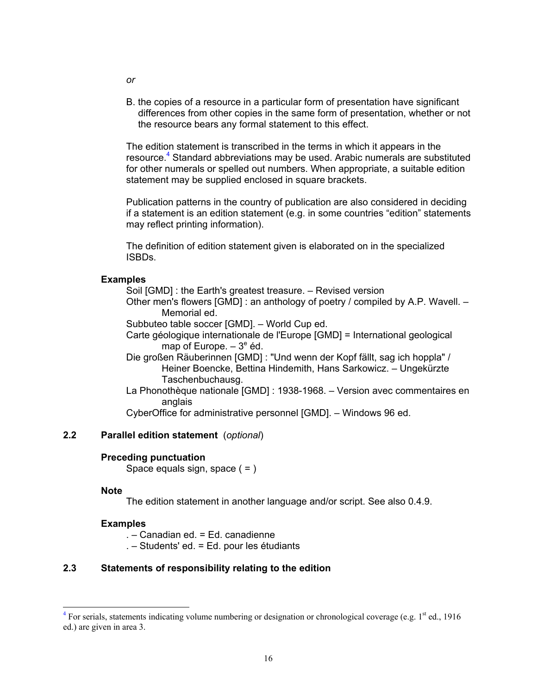B. the copies of a resource in a particular form of presentation have significant differences from other copies in the same form of presentation, whether or not the resource bears any formal statement to this effect.

The edition statement is transcribed in the terms in which it appears in the resource.<sup>[4](#page-20-0)</sup> Standard abbreviations may be used. Arabic numerals are substituted for other numerals or spelled out numbers. When appropriate, a suitable edition statement may be supplied enclosed in square brackets.

Publication patterns in the country of publication are also considered in deciding if a statement is an edition statement (e.g. in some countries "edition" statements may reflect printing information).

The definition of edition statement given is elaborated on in the specialized ISBDs.

#### **Examples**

Soil [GMD] : the Earth's greatest treasure. – Revised version

Other men's flowers [GMD] : an anthology of poetry / compiled by A.P. Wavell. – Memorial ed.

Subbuteo table soccer [GMD]. – World Cup ed.

Carte géologique internationale de l'Europe [GMD] = International geological map of Europe.  $-3^e$  éd.

- Die großen Räuberinnen [GMD] : "Und wenn der Kopf fällt, sag ich hoppla" / Heiner Boencke, Bettina Hindemith, Hans Sarkowicz. – Ungekürzte Taschenbuchausg.
- La Phonothèque nationale [GMD] : 1938-1968. Version avec commentaires en anglais

CyberOffice for administrative personnel [GMD]. – Windows 96 ed.

# **2.2 Parallel edition statement** (*optional*)

#### **Preceding punctuation**

Space equals sign, space  $( = )$ 

#### **Note**

The edition statement in another language and/or script. See also 0.4.9.

#### **Examples**

. – Canadian ed. = Ed. canadienne

. – Students' ed. = Ed. pour les étudiants

# **2.3 Statements of responsibility relating to the edition**

<span id="page-20-1"></span>*or* 

<span id="page-20-0"></span><sup>-&</sup>lt;br>4 <sup>4</sup> For serials, statements indicating volume numbering or designation or chronological coverage (e.g.  $1<sup>st</sup>$  ed., 1916 ed.) are given in area 3.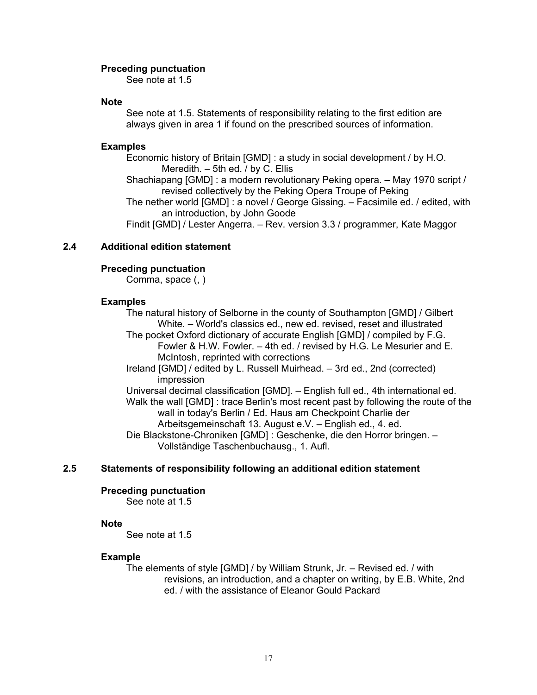#### <span id="page-21-0"></span>**Preceding punctuation**

See note at 1.5

#### **Note**

See note at 1.5. Statements of responsibility relating to the first edition are always given in area 1 if found on the prescribed sources of information.

#### **Examples**

Economic history of Britain [GMD] : a study in social development / by H.O. Meredith. – 5th ed. / by C. Ellis

Shachiapang [GMD] : a modern revolutionary Peking opera. – May 1970 script / revised collectively by the Peking Opera Troupe of Peking

The nether world [GMD] : a novel / George Gissing. – Facsimile ed. / edited, with an introduction, by John Goode

Findit [GMD] / Lester Angerra. – Rev. version 3.3 / programmer, Kate Maggor

# **2.4 Additional edition statement**

#### **Preceding punctuation**

Comma, space (, )

# **Examples**

The natural history of Selborne in the county of Southampton [GMD] / Gilbert White. – World's classics ed., new ed. revised, reset and illustrated

The pocket Oxford dictionary of accurate English [GMD] / compiled by F.G. Fowler & H.W. Fowler. – 4th ed. / revised by H.G. Le Mesurier and E. McIntosh, reprinted with corrections

Ireland [GMD] / edited by L. Russell Muirhead. – 3rd ed., 2nd (corrected) impression

Universal decimal classification [GMD]. – English full ed., 4th international ed. Walk the wall [GMD] : trace Berlin's most recent past by following the route of the wall in today's Berlin / Ed. Haus am Checkpoint Charlie der Arbeitsgemeinschaft 13. August e.V. – English ed., 4. ed.

Die Blackstone-Chroniken [GMD] : Geschenke, die den Horror bringen. – Vollständige Taschenbuchausg., 1. Aufl.

# **2.5 Statements of responsibility following an additional edition statement**

#### **Preceding punctuation**

See note at 1.5

#### **Note**

See note at 1.5

#### **Example**

The elements of style [GMD] / by William Strunk, Jr. – Revised ed. / with revisions, an introduction, and a chapter on writing, by E.B. White, 2nd ed. / with the assistance of Eleanor Gould Packard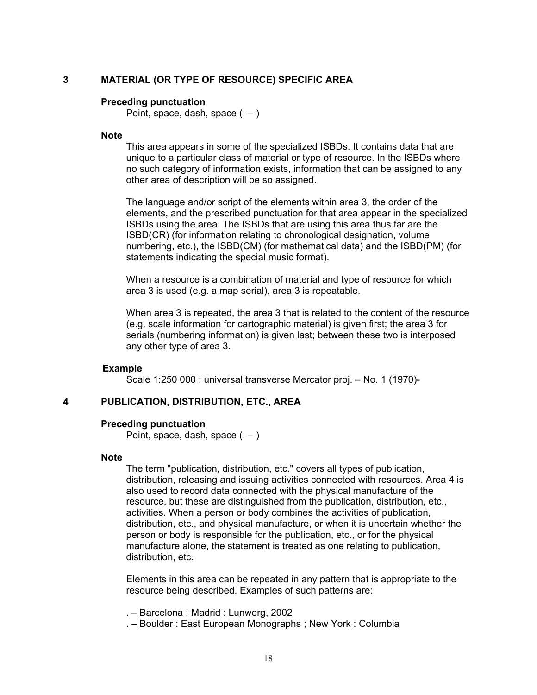#### <span id="page-22-1"></span><span id="page-22-0"></span>**3 MATERIAL (OR TYPE OF RESOURCE) SPECIFIC AREA**

#### **Preceding punctuation**

Point, space, dash, space  $($ .  $)$ 

# **Note**

This area appears in some of the specialized ISBDs. It contains data that are unique to a particular class of material or type of resource. In the ISBDs where no such category of information exists, information that can be assigned to any other area of description will be so assigned.

The language and/or script of the elements within area 3, the order of the elements, and the prescribed punctuation for that area appear in the specialized ISBDs using the area. The ISBDs that are using this area thus far are the ISBD(CR) (for information relating to chronological designation, volume numbering, etc.), the ISBD(CM) (for mathematical data) and the ISBD(PM) (for statements indicating the special music format).

When a resource is a combination of material and type of resource for which area 3 is used (e.g. a map serial), area 3 is repeatable.

When area 3 is repeated, the area 3 that is related to the content of the resource (e.g. scale information for cartographic material) is given first; the area 3 for serials (numbering information) is given last; between these two is interposed any other type of area 3.

#### **Example**

Scale 1:250 000 ; universal transverse Mercator proj. – No. 1 (1970)-

#### **4 PUBLICATION, DISTRIBUTION, ETC., AREA**

#### **Preceding punctuation**

Point, space, dash, space  $(.-)$ 

#### **Note**

The term "publication, distribution, etc." covers all types of publication, distribution, releasing and issuing activities connected with resources. Area 4 is also used to record data connected with the physical manufacture of the resource, but these are distinguished from the publication, distribution, etc., activities. When a person or body combines the activities of publication, distribution, etc., and physical manufacture, or when it is uncertain whether the person or body is responsible for the publication, etc., or for the physical manufacture alone, the statement is treated as one relating to publication, distribution, etc.

Elements in this area can be repeated in any pattern that is appropriate to the resource being described. Examples of such patterns are:

. – Barcelona ; Madrid : Lunwerg, 2002

. – Boulder : East European Monographs ; New York : Columbia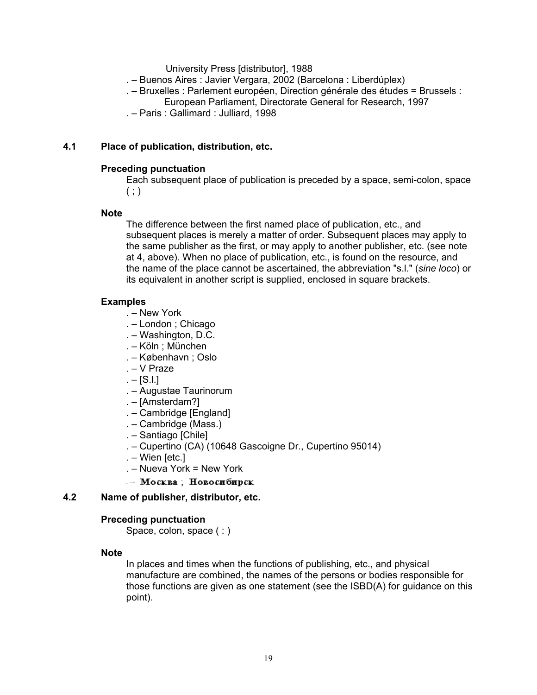University Press [distributor], 1988

- <span id="page-23-0"></span>. – Buenos Aires : Javier Vergara, 2002 (Barcelona : Liberdúplex)
- . Bruxelles : Parlement européen, Direction générale des études = Brussels :
	- European Parliament, Directorate General for Research, 1997
- . Paris : Gallimard : Julliard, 1998

# **4.1 Place of publication, distribution, etc.**

# **Preceding punctuation**

Each subsequent place of publication is preceded by a space, semi-colon, space  $( ; )$ 

# **Note**

The difference between the first named place of publication, etc., and subsequent places is merely a matter of order. Subsequent places may apply to the same publisher as the first, or may apply to another publisher, etc. (see note at 4, above). When no place of publication, etc., is found on the resource, and the name of the place cannot be ascertained, the abbreviation "s.l." (*sine loco*) or its equivalent in another script is supplied, enclosed in square brackets.

# **Examples**

- . New York
- . London ; Chicago
- . Washington, D.C.
- . Köln ; München
- . København ; Oslo
- . V Praze
- $. -$  [S.I.]
- . Augustae Taurinorum
- . [Amsterdam?]
- . Cambridge [England]
- . Cambridge (Mass.)
- . Santiago [Chile]
- . Cupertino (CA) (10648 Gascoigne Dr., Cupertino 95014)
- . Wien [etc.]
- . Nueva York = New York
- Москва; Новосибирск

# **4.2 Name of publisher, distributor, etc.**

# **Preceding punctuation**

Space, colon, space (: )

#### **Note**

In places and times when the functions of publishing, etc., and physical manufacture are combined, the names of the persons or bodies responsible for those functions are given as one statement (see the ISBD(A) for guidance on this point).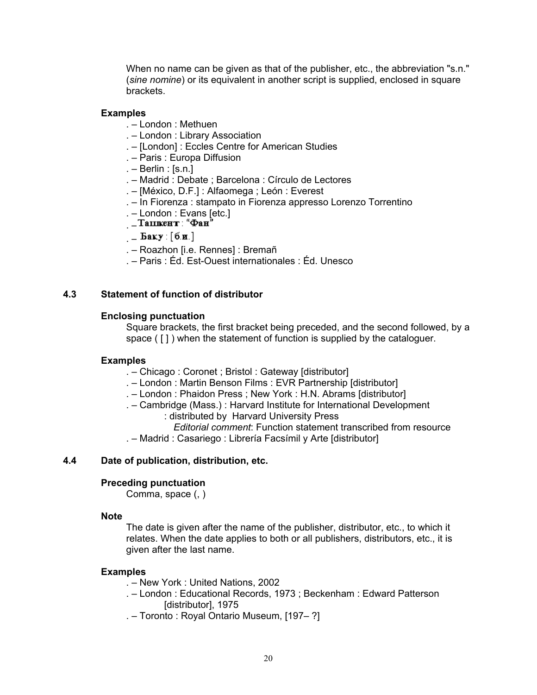<span id="page-24-0"></span>When no name can be given as that of the publisher, etc., the abbreviation "s.n." (*sine nomine*) or its equivalent in another script is supplied, enclosed in square brackets.

# **Examples**

- . London : Methuen
- . London : Library Association
- . [London] : Eccles Centre for American Studies
- . Paris : Europa Diffusion
- $. -$  Berlin : [s.n.]
- . Madrid : Debate ; Barcelona : Círculo de Lectores
- . [México, D.F.] : Alfaomega ; León : Everest
- . In Fiorenza : stampato in Fiorenza appresso Lorenzo Torrentino
- . London : Evans [etc.]
- <sub>—</sub>Ташкент : "Фан"
- $-$  Баку: [б.н.]
- . Roazhon [i.e. Rennes] : Bremañ
- . Paris : Éd. Est-Ouest internationales : Éd. Unesco

# **4.3 Statement of function of distributor**

# **Enclosing punctuation**

Square brackets, the first bracket being preceded, and the second followed, by a space ( $\lceil \cdot \rceil$ ) when the statement of function is supplied by the cataloguer.

# **Examples**

- . Chicago : Coronet ; Bristol : Gateway [distributor]
- . London : Martin Benson Films : EVR Partnership [distributor]
- . London : Phaidon Press ; New York : H.N. Abrams [distributor]
- . Cambridge (Mass.) : Harvard Institute for International Development
	- : distributed by Harvard University Press
		- *Editorial comment*: Function statement transcribed from resource
- . Madrid : Casariego : Librería Facsímil y Arte [distributor]

# **4.4 Date of publication, distribution, etc.**

# **Preceding punctuation**

Comma, space (, )

#### **Note**

The date is given after the name of the publisher, distributor, etc., to which it relates. When the date applies to both or all publishers, distributors, etc., it is given after the last name.

#### **Examples**

- . New York : United Nations, 2002
- . London : Educational Records, 1973 ; Beckenham : Edward Patterson [distributor], 1975
- . Toronto : Royal Ontario Museum, [197– ?]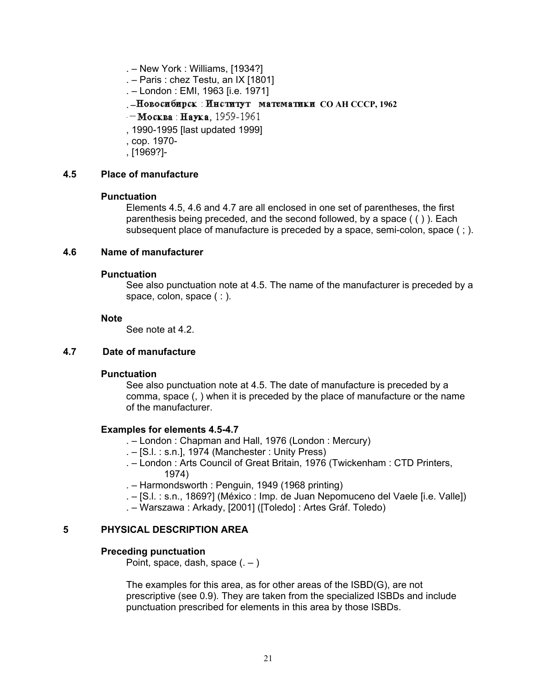- <span id="page-25-1"></span><span id="page-25-0"></span>. – New York : Williams, [1934?]
- . Paris : chez Testu, an IX [1801]
- . London : EMI, 1963 [i.e. 1971]
- . Новосибирск: Институт математики СОАН СССР, 1962
- Москва: Наука, 1959-1961
- , 1990-1995 [last updated 1999]
- , cop. 1970-
- , [1969?]-

#### **4.5 Place of manufacture**

#### **Punctuation**

Elements 4.5, 4.6 and 4.7 are all enclosed in one set of parentheses, the first parenthesis being preceded, and the second followed, by a space ( ( ) ). Each subsequent place of manufacture is preceded by a space, semi-colon, space  $( ; ).$ 

#### **4.6 Name of manufacturer**

#### **Punctuation**

See also punctuation note at 4.5. The name of the manufacturer is preceded by a space, colon, space (: ).

#### **Note**

See note at 4.2.

#### **4.7 Date of manufacture**

#### **Punctuation**

See also punctuation note at 4.5. The date of manufacture is preceded by a comma, space (, ) when it is preceded by the place of manufacture or the name of the manufacturer.

#### **Examples for elements 4.5-4.7**

- . London : Chapman and Hall, 1976 (London : Mercury)
- . [S.l. : s.n.], 1974 (Manchester : Unity Press)
- . London : Arts Council of Great Britain, 1976 (Twickenham : CTD Printers, 1974)
- . Harmondsworth : Penguin, 1949 (1968 printing)
- . [S.l. : s.n., 1869?] (México : Imp. de Juan Nepomuceno del Vaele [i.e. Valle])
- . Warszawa : Arkady, [2001] ([Toledo] : Artes Gráf. Toledo)

#### **5 PHYSICAL DESCRIPTION AREA**

#### **Preceding punctuation**

Point, space, dash, space  $(.-)$ 

The examples for this area, as for other areas of the ISBD(G), are not prescriptive (see 0.9). They are taken from the specialized ISBDs and include punctuation prescribed for elements in this area by those ISBDs.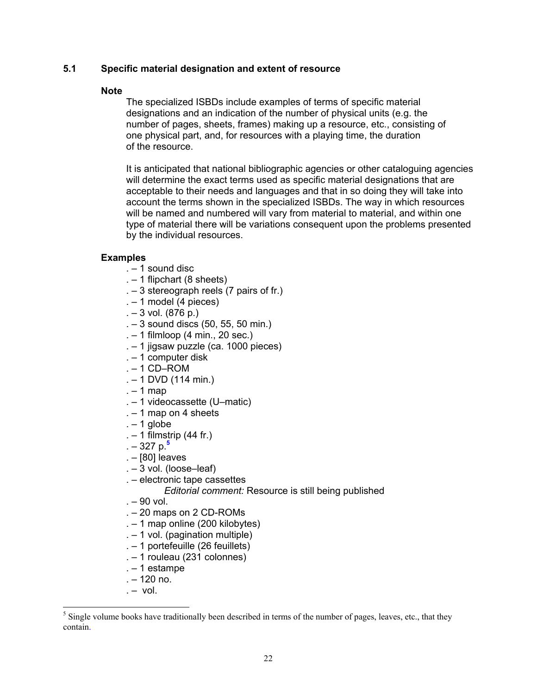# <span id="page-26-1"></span>**5.1 Specific material designation and extent of resource**

#### **Note**

The specialized ISBDs include examples of terms of specific material designations and an indication of the number of physical units (e.g. the number of pages, sheets, frames) making up a resource, etc., consisting of one physical part, and, for resources with a playing time, the duration of the resource.

It is anticipated that national bibliographic agencies or other cataloguing agencies will determine the exact terms used as specific material designations that are acceptable to their needs and languages and that in so doing they will take into account the terms shown in the specialized ISBDs. The way in which resources will be named and numbered will vary from material to material, and within one type of material there will be variations consequent upon the problems presented by the individual resources.

# **Examples**

- . 1 sound disc
- . 1 flipchart (8 sheets)
- . 3 stereograph reels (7 pairs of fr.)
- . 1 model (4 pieces)
- $-3$  vol. (876 p.)
- . 3 sound discs (50, 55, 50 min.)
- . 1 filmloop (4 min., 20 sec.)
- . 1 jigsaw puzzle (ca. 1000 pieces)
- . 1 computer disk
- $. 1$  CD–ROM
- . 1 DVD (114 min.)
- $. 1$  map
- . 1 videocassette (U–matic)
- $. 1$  map on 4 sheets
- $. 1$  globe
- $. 1$  filmstrip (44 fr.)
- . 327 p.**[5](#page-26-0)**
- . [80] leaves
- . 3 vol. (loose–leaf)
- . electronic tape cassettes
	- *Editorial comment:* Resource is still being published
- $. 90$  vol.
- . 20 maps on 2 CD-ROMs
- . 1 map online (200 kilobytes)
- . 1 vol. (pagination multiple)
- . 1 portefeuille (26 feuillets)
- . 1 rouleau (231 colonnes)
- . 1 estampe
- . 120 no.
- $. vol.$

-

<span id="page-26-0"></span><sup>.</sup> contain  $<sup>5</sup>$  Single volume books have traditionally been described in terms of the number of pages, leaves, etc., that they</sup>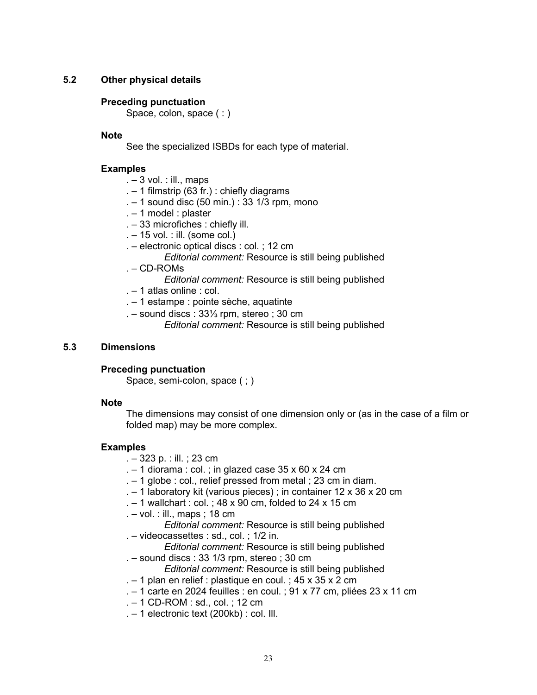# <span id="page-27-0"></span>**5.2 Other physical details**

# **Preceding punctuation**

Space, colon, space (:)

# **Note**

See the specialized ISBDs for each type of material.

# **Examples**

- $. 3$  vol. : ill., maps
- . 1 filmstrip (63 fr.) : chiefly diagrams
- . 1 sound disc (50 min.) : 33 1/3 rpm, mono
- . 1 model : plaster
- . 33 microfiches : chiefly ill.
- . 15 vol. : ill. (some col.)
- . electronic optical discs : col. ; 12 cm
	- *Editorial comment:* Resource is still being published
- . CD-ROMs
	- *Editorial comment:* Resource is still being published
- . 1 atlas online : col.
- . 1 estampe : pointe sèche, aquatinte
- . sound discs : 33⅓ rpm, stereo ; 30 cm
	- *Editorial comment:* Resource is still being published

# **5.3 Dimensions**

#### **Preceding punctuation**

Space, semi-colon, space ( ; )

#### **Note**

The dimensions may consist of one dimension only or (as in the case of a film or folded map) may be more complex.

#### **Examples**

- . 323 p. : ill. ; 23 cm
- $-1$  diorama : col. ; in glazed case 35 x 60 x 24 cm
- . 1 globe : col., relief pressed from metal ; 23 cm in diam.
- . 1 laboratory kit (various pieces) ; in container 12 x 36 x 20 cm
- $. 1$  wallchart : col. ; 48 x 90 cm, folded to 24 x 15 cm
- . vol. : ill., maps ; 18 cm

*Editorial comment:* Resource is still being published

- . videocassettes : sd., col. ; 1/2 in.
	- *Editorial comment:* Resource is still being published
- . sound discs : 33 1/3 rpm, stereo ; 30 cm
	- *Editorial comment:* Resource is still being published
- $-1$  plan en relief : plastique en coul. ; 45 x 35 x 2 cm
- . 1 carte en 2024 feuilles : en coul. ; 91 x 77 cm, pliées 23 x 11 cm
- . 1 CD-ROM : sd., col. ; 12 cm
- . 1 electronic text (200kb) : col. Ill.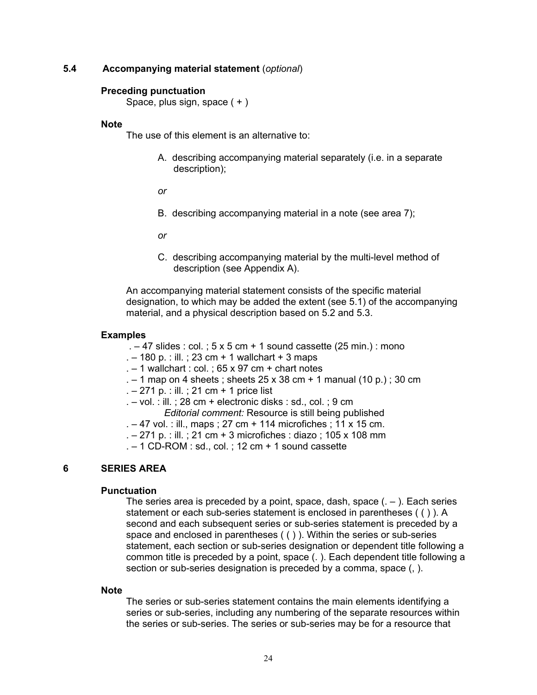# <span id="page-28-1"></span><span id="page-28-0"></span>**5.4 Accompanying material statement** (*optional*)

#### **Preceding punctuation**

Space, plus sign, space ( + )

#### **Note**

The use of this element is an alternative to:

A. describing accompanying material separately (i.e. in a separate description);

*or* 

B. describing accompanying material in a note (see area 7);

*or* 

C. describing accompanying material by the multi-level method of description (see Appendix A).

An accompanying material statement consists of the specific material designation, to which may be added the extent (see 5.1) of the accompanying material, and a physical description based on 5.2 and 5.3.

#### **Examples**

- $-47$  slides : col. ; 5 x 5 cm + 1 sound cassette (25 min.) : mono
- .  $-$  180 p. : ill. ; 23 cm + 1 wallchart + 3 maps
- $. 1$  wallchart : col. : 65 x 97 cm + chart notes
- $-1$  map on 4 sheets; sheets 25 x 38 cm + 1 manual (10 p.); 30 cm
- . 271 p. : ill. ; 21 cm + 1 price list
- $. -$  vol. : ill. ; 28 cm + electronic disks : sd., col. ; 9 cm *Editorial comment:* Resource is still being published
- . 47 vol. : ill., maps ; 27 cm + 114 microfiches ; 11 x 15 cm.
- . 271 p. : ill. ; 21 cm + 3 microfiches : diazo ; 105 x 108 mm
- $. 1$  CD-ROM : sd., col. ; 12 cm  $+$  1 sound cassette

# **6 SERIES AREA**

#### **Punctuation**

The series area is preceded by a point, space, dash, space  $(.-)$ . Each series statement or each sub-series statement is enclosed in parentheses ( ( ) ). A second and each subsequent series or sub-series statement is preceded by a space and enclosed in parentheses ( ( ) ). Within the series or sub-series statement, each section or sub-series designation or dependent title following a common title is preceded by a point, space (. ). Each dependent title following a section or sub-series designation is preceded by a comma, space (, ).

#### **Note**

The series or sub-series statement contains the main elements identifying a series or sub-series, including any numbering of the separate resources within the series or sub-series. The series or sub-series may be for a resource that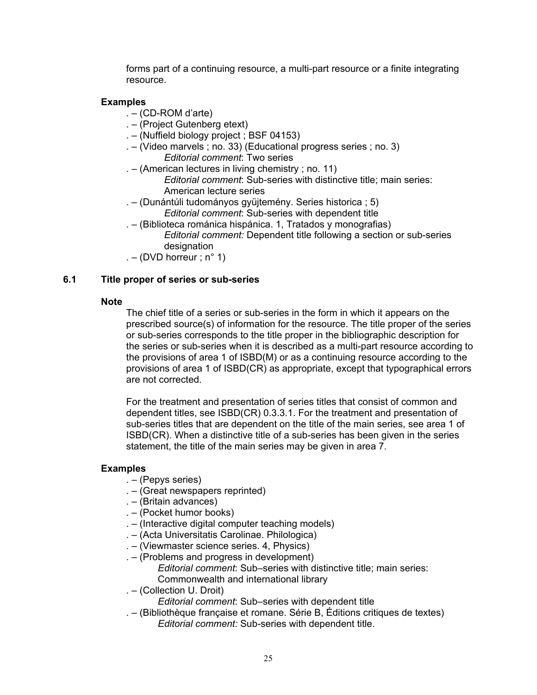forms part of a continuing resource, a multi-part resource or a finite integrating resource.

# <span id="page-29-0"></span> **Examples**

- . (CD-ROM d'arte)
- . (Project Gutenberg etext)
- . (Nuffield biology project ; BSF 04153)
- . (Video marvels ; no. 33) (Educational progress series ; no. 3)  *Editorial comment*: Two series
- . (American lectures in living chemistry ; no. 11)  *Editorial comment*: Sub-series with distinctive title; main series: American lecture series
- . (Dunántúli tudományos gyüjtemény. Series historica ; 5)  *Editorial comment*: Sub-series with dependent title
- . (Biblioteca románica hispánica. 1, Tratados y monografias) *Editorial comment:* Dependent title following a section or sub-series designation
- . (DVD horreur ;  $n^{\circ}$  1)

# **6.1 Title proper of series or sub-series**

#### **Note**

The chief title of a series or sub-series in the form in which it appears on the prescribed source(s) of information for the resource. The title proper of the series or sub-series corresponds to the title proper in the bibliographic description for the series or sub-series when it is described as a multi-part resource according to the provisions of area 1 of ISBD(M) or as a continuing resource according to the provisions of area 1 of ISBD(CR) as appropriate, except that typographical errors are not corrected.

For the treatment and presentation of series titles that consist of common and dependent titles, see ISBD(CR) 0.3.3.1. For the treatment and presentation of sub-series titles that are dependent on the title of the main series, see area 1 of ISBD(CR). When a distinctive title of a sub-series has been given in the series statement, the title of the main series may be given in area 7.

#### **Examples**

- . (Pepys series)
- . (Great newspapers reprinted)
- . (Britain advances)
- . (Pocket humor books)
- . (Interactive digital computer teaching models)
- . (Acta Universitatis Carolinae. Philologica)
- . (Viewmaster science series. 4, Physics)
- . (Problems and progress in development) *Editorial comment*: Sub–series with distinctive title; main series:
	- Commonwealth and international library
- . (Collection U. Droit)

*Editorial comment*: Sub–series with dependent title

. – (Bibliothèque française et romane. Série B, Éditions critiques de textes) *Editorial comment:* Sub-series with dependent title.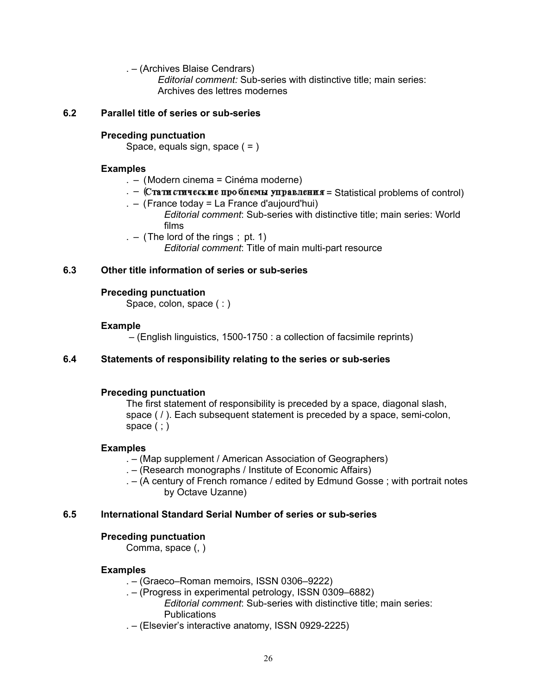. – (Archives Blaise Cendrars)

*Editorial comment:* Sub-series with distinctive title; main series: Archives des lettres modernes

# <span id="page-30-0"></span>**6.2 Parallel title of series or sub-series**

# **Preceding punctuation**

Space, equals sign, space ( = )

# **Examples**

- . (Modern cinema = Cinéma moderne)
- $. -$  (Стати стические проблемы управления = Statistical problems of control)
- . (France today = La France d'aujourd'hui)
	- *Editorial comment*: Sub-series with distinctive title; main series: World films
- .  $-$  (The lord of the rings ; pt. 1) *Editorial comment*: Title of main multi-part resource

# **6.3 Other title information of series or sub-series**

# **Preceding punctuation**

Space, colon, space (: )

# **Example**

– (English linguistics, 1500-1750 : a collection of facsimile reprints)

# **6.4 Statements of responsibility relating to the series or sub-series**

# **Preceding punctuation**

The first statement of responsibility is preceded by a space, diagonal slash, space ( / ). Each subsequent statement is preceded by a space, semi-colon, space  $( : )$ 

# **Examples**

. – (Map supplement / American Association of Geographers)

- . (Research monographs / Institute of Economic Affairs)
- . (A century of French romance / edited by Edmund Gosse ; with portrait notes by Octave Uzanne)

# **6.5 International Standard Serial Number of series or sub-series**

#### **Preceding punctuation**

Comma, space (, )

# **Examples**

- . (Graeco–Roman memoirs, ISSN 0306–9222)
- . (Progress in experimental petrology, ISSN 0309–6882) *Editorial comment*: Sub-series with distinctive title; main series: **Publications**
- . (Elsevier's interactive anatomy, ISSN 0929-2225)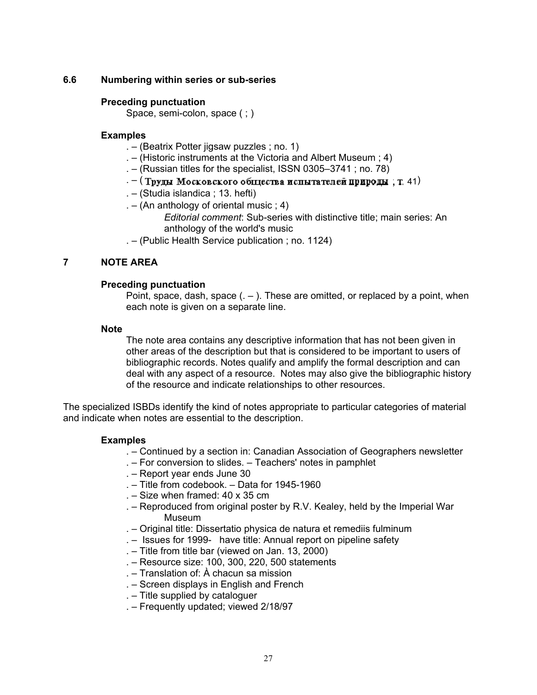# <span id="page-31-1"></span><span id="page-31-0"></span>**6.6 Numbering within series or sub-series**

### **Preceding punctuation**

Space, semi-colon, space ( ; )

#### **Examples**

- . (Beatrix Potter jigsaw puzzles ; no. 1)
- . (Historic instruments at the Victoria and Albert Museum ; 4)
- . (Russian titles for the specialist, ISSN 0305–3741 ; no. 78)
- $-$  (Труды Московского общества испытателей природы, т. 41)
- . (Studia islandica ; 13. hefti)
- .  $-$  (An anthology of oriental music ; 4)
	- *Editorial comment*: Sub-series with distinctive title; main series: An anthology of the world's music
- . (Public Health Service publication ; no. 1124)

# **7 NOTE AREA**

# **Preceding punctuation**

Point, space, dash, space  $(.-)$ . These are omitted, or replaced by a point, when each note is given on a separate line.

#### **Note**

The note area contains any descriptive information that has not been given in other areas of the description but that is considered to be important to users of bibliographic records. Notes qualify and amplify the formal description and can deal with any aspect of a resource. Notes may also give the bibliographic history of the resource and indicate relationships to other resources.

The specialized ISBDs identify the kind of notes appropriate to particular categories of material and indicate when notes are essential to the description.

#### **Examples**

- . Continued by a section in: Canadian Association of Geographers newsletter
- . For conversion to slides. Teachers' notes in pamphlet
- . Report year ends June 30
- . Title from codebook. Data for 1945-1960
- . Size when framed: 40 x 35 cm
- . Reproduced from original poster by R.V. Kealey, held by the Imperial War Museum
- . Original title: Dissertatio physica de natura et remediis fulminum
- . Issues for 1999- have title: Annual report on pipeline safety
- . Title from title bar (viewed on Jan. 13, 2000)
- . Resource size: 100, 300, 220, 500 statements
- . Translation of: À chacun sa mission
- . Screen displays in English and French
- . Title supplied by cataloguer
- . Frequently updated; viewed 2/18/97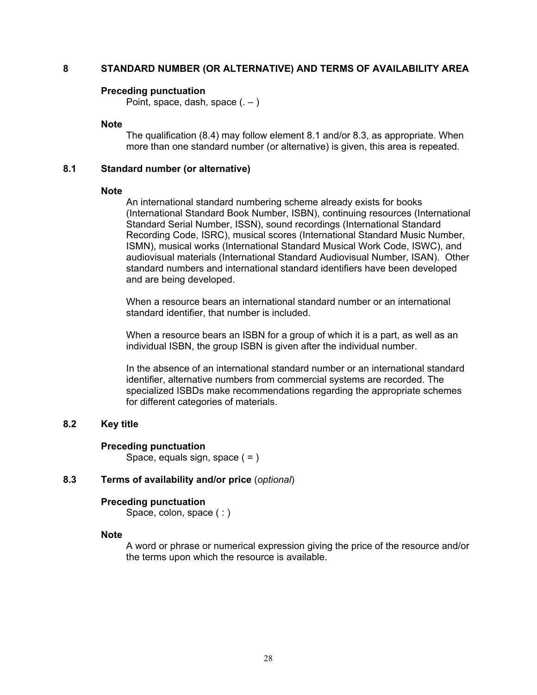# <span id="page-32-1"></span><span id="page-32-0"></span>**8 STANDARD NUMBER (OR ALTERNATIVE) AND TERMS OF AVAILABILITY AREA**

#### **Preceding punctuation**

Point, space, dash, space  $(.-)$ 

#### **Note**

The qualification (8.4) may follow element 8.1 and/or 8.3, as appropriate. When more than one standard number (or alternative) is given, this area is repeated.

#### **8.1 Standard number (or alternative)**

#### **Note**

An international standard numbering scheme already exists for books (International Standard Book Number, ISBN), continuing resources (International Standard Serial Number, ISSN), sound recordings (International Standard Recording Code, ISRC), musical scores (International Standard Music Number, ISMN), musical works (International Standard Musical Work Code, ISWC), and audiovisual materials (International Standard Audiovisual Number, ISAN). Other standard numbers and international standard identifiers have been developed and are being developed.

When a resource bears an international standard number or an international standard identifier, that number is included.

When a resource bears an ISBN for a group of which it is a part, as well as an individual ISBN, the group ISBN is given after the individual number.

In the absence of an international standard number or an international standard identifier, alternative numbers from commercial systems are recorded. The specialized ISBDs make recommendations regarding the appropriate schemes for different categories of materials.

#### **8.2 Key title**

#### **Preceding punctuation**

Space, equals sign, space  $( = )$ 

#### **8.3 Terms of availability and/or price** (*optional*)

#### **Preceding punctuation**

Space, colon, space (:)

#### **Note**

A word or phrase or numerical expression giving the price of the resource and/or the terms upon which the resource is available.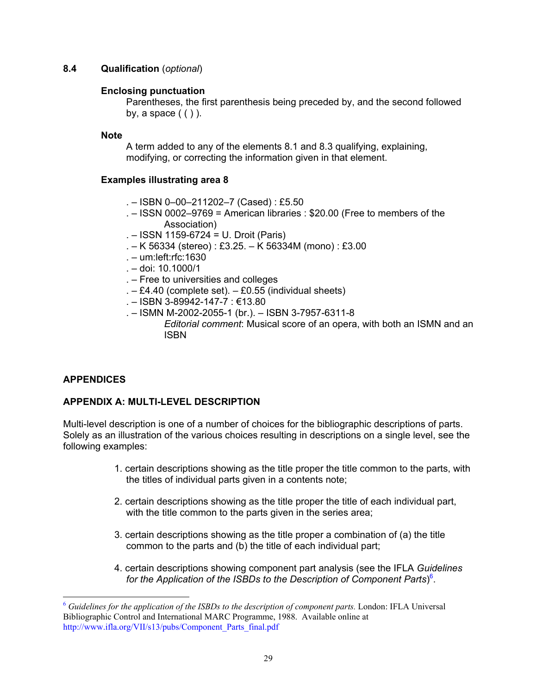# <span id="page-33-2"></span><span id="page-33-0"></span>**8.4 Qualification** (*optional*)

# **Enclosing punctuation**

Parentheses, the first parenthesis being preceded by, and the second followed by, a space  $( ()$  ).

# **Note**

A term added to any of the elements 8.1 and 8.3 qualifying, explaining, modifying, or correcting the information given in that element.

# **Examples illustrating area 8**

- . ISBN 0–00–211202–7 (Cased) : £5.50
- . ISSN 0002–9769 = American libraries : \$20.00 (Free to members of the Association)
- . ISSN 1159-6724 = U. Droit (Paris)
- . K 56334 (stereo) : £3.25. K 56334M (mono) : £3.00
- . um:left:rfc:1630
- . doi: 10.1000/1
- . Free to universities and colleges
- $-E4.40$  (complete set).  $-E0.55$  (individual sheets)
- . ISBN 3-89942-147-7 : €13.80
- . ISMN M-2002-2055-1 (br.). ISBN 3-7957-6311-8 *Editorial comment*: Musical score of an opera, with both an ISMN and an ISBN

# **APPENDICES**

# **APPENDIX A: MULTI-LEVEL DESCRIPTION**

Multi-level description is one of a number of choices for the bibliographic descriptions of parts. Solely as an illustration of the various choices resulting in descriptions on a single level, see the following examples:

- 1. certain descriptions showing as the title proper the title common to the parts, with the titles of individual parts given in a contents note;
- 2. certain descriptions showing as the title proper the title of each individual part, with the title common to the parts given in the series area;
- 3. certain descriptions showing as the title proper a combination of (a) the title common to the parts and (b) the title of each individual part;
- 4. certain descriptions showing component part analysis (see the IFLA *Guidelines for the Application of the ISBDs to the Description of Component Parts*) [6](#page-33-1) .

<span id="page-33-1"></span><sup>6</sup> *Guidelines for the application of the ISBDs to the description of component parts.* London: IFLA Universal Bibliographic Control and International MARC Programme, 1988. Available online at [http://www.ifla.org/VII/s13/pubs/Component\\_Parts\\_final.pdf](http://www.ifla.org/VII/s13/pubs/Component_Parts_final.pdf)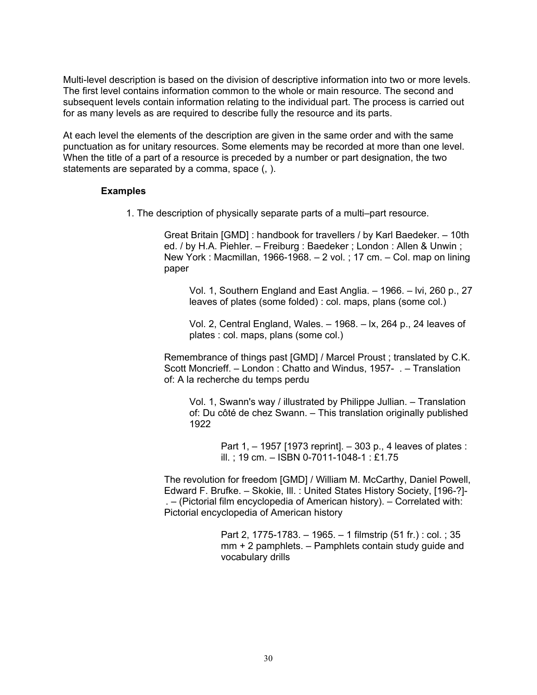Multi-level description is based on the division of descriptive information into two or more levels. The first level contains information common to the whole or main resource. The second and subsequent levels contain information relating to the individual part. The process is carried out for as many levels as are required to describe fully the resource and its parts.

At each level the elements of the description are given in the same order and with the same punctuation as for unitary resources. Some elements may be recorded at more than one level. When the title of a part of a resource is preceded by a number or part designation, the two statements are separated by a comma, space (, ).

#### **Examples**

1. The description of physically separate parts of a multi–part resource.

Great Britain [GMD] : handbook for travellers / by Karl Baedeker. – 10th ed. / by H.A. Piehler. – Freiburg : Baedeker ; London : Allen & Unwin ; New York : Macmillan, 1966-1968. – 2 vol. ; 17 cm. – Col. map on lining paper

Vol. 1, Southern England and East Anglia. – 1966. – lvi, 260 p., 27 leaves of plates (some folded) : col. maps, plans (some col.)

Vol. 2, Central England, Wales. – 1968. – lx, 264 p., 24 leaves of plates : col. maps, plans (some col.)

Remembrance of things past [GMD] / Marcel Proust ; translated by C.K. Scott Moncrieff. – London : Chatto and Windus, 1957- . – Translation of: A la recherche du temps perdu

Vol. 1, Swann's way / illustrated by Philippe Jullian. – Translation of: Du côté de chez Swann. – This translation originally published 1922

> Part 1, – 1957 [1973 reprint]. – 303 p., 4 leaves of plates : ill. ; 19 cm. – ISBN 0-7011-1048-1 : £1.75

The revolution for freedom [GMD] / William M. McCarthy, Daniel Powell, Edward F. Brufke. – Skokie, Ill. : United States History Society, [196-?]- . – (Pictorial film encyclopedia of American history). – Correlated with: Pictorial encyclopedia of American history

> Part 2, 1775-1783. – 1965. – 1 filmstrip (51 fr.) : col. ; 35 mm + 2 pamphlets. – Pamphlets contain study guide and vocabulary drills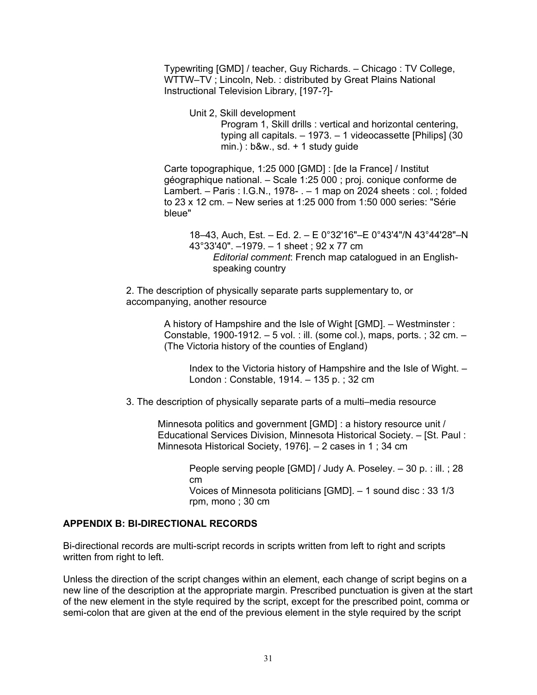<span id="page-35-1"></span><span id="page-35-0"></span>Typewriting [GMD] / teacher, Guy Richards. – Chicago : TV College, WTTW–TV ; Lincoln, Neb. : distributed by Great Plains National Instructional Television Library, [197-?]-

Unit 2, Skill development Program 1, Skill drills : vertical and horizontal centering, typing all capitals. – 1973. – 1 videocassette [Philips] (30  $min.$ ) :  $b$ &w., sd. + 1 study guide

Carte topographique, 1:25 000 [GMD] : [de la France] / Institut géographique national. – Scale 1:25 000 ; proj. conique conforme de Lambert. – Paris : I.G.N., 1978- . – 1 map on 2024 sheets : col. ; folded to 23 x 12 cm. – New series at 1:25 000 from 1:50 000 series: "Série bleue"

18–43, Auch, Est. – Ed. 2. – E 0°32'16"–E 0°43'4"/N 43°44'28"–N 43°33'40". –1979. – 1 sheet ; 92 x 77 cm *Editorial comment*: French map catalogued in an Englishspeaking country

2. The description of physically separate parts supplementary to, or accompanying, another resource

> A history of Hampshire and the Isle of Wight [GMD]. – Westminster : Constable, 1900-1912. – 5 vol. : ill. (some col.), maps, ports. ; 32 cm. – (The Victoria history of the counties of England)

Index to the Victoria history of Hampshire and the Isle of Wight. – London : Constable, 1914. – 135 p. ; 32 cm

3. The description of physically separate parts of a multi–media resource

Minnesota politics and government [GMD] : a history resource unit / Educational Services Division, Minnesota Historical Society. – [St. Paul : Minnesota Historical Society, 1976]. – 2 cases in 1 ; 34 cm

> People serving people [GMD] / Judy A. Poseley. – 30 p. : ill. ; 28 cm Voices of Minnesota politicians [GMD]. – 1 sound disc : 33 1/3 rpm, mono ; 30 cm

# **APPENDIX B: BI-DIRECTIONAL RECORDS**

Bi-directional records are multi-script records in scripts written from left to right and scripts written from right to left.

Unless the direction of the script changes within an element, each change of script begins on a new line of the description at the appropriate margin. Prescribed punctuation is given at the start of the new element in the style required by the script, except for the prescribed point, comma or semi-colon that are given at the end of the previous element in the style required by the script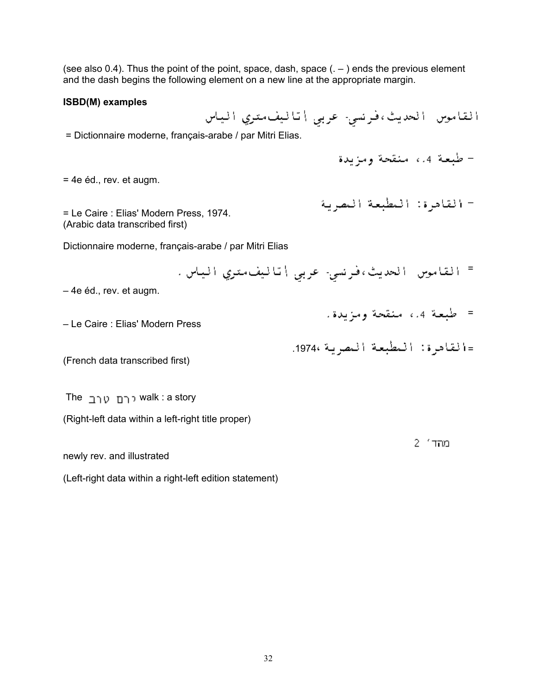(see also 0.4). Thus the point of the point, space, dash, space  $($ .  $-$ ) ends the previous element and the dash begins the following element on a new line at the appropriate margin.

#### **ISBD(M) examples**

القاموس الحديث،فرنسي- عربي أتاليف متري الياس

= Dictionnaire moderne, français-arabe / par Mitri Elias.

– طبعة 4.4 منقحة ومزيدة

– القادرة: المطبعة المصرية

= طبعة 4.، منقحة ومزيدة.

=القادرة: المطبعة المصرية 1974.

= 4e éd., rev. et augm.

= Le Caire : Elias' Modern Press, 1974. (Arabic data transcribed first)

Dictionnaire moderne, français-arabe / par Mitri Elias

= القاموس الحديث،فرنسي- عربي |تاليف،تري الياس.

– 4e éd., rev. et augm.

– Le Caire : Elias' Modern Press

(French data transcribed first)

The walk : a story

(Right-left data within a left-right title proper)

מהד' 2

newly rev. and illustrated

(Left-right data within a right-left edition statement)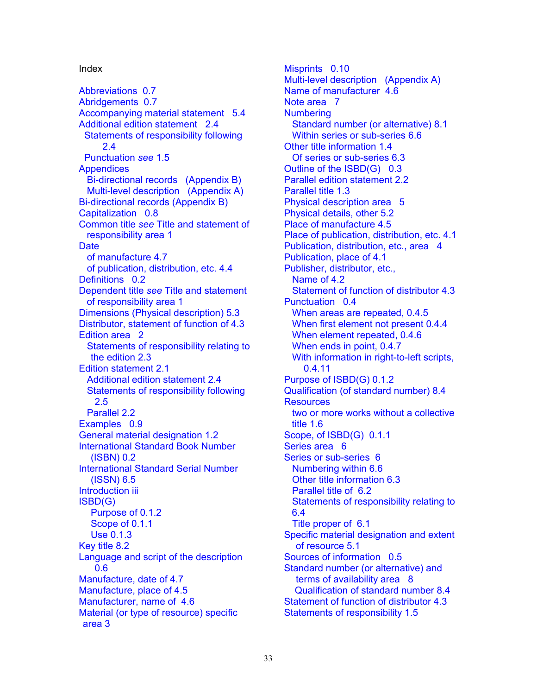[Abbreviations 0.7](#page-14-1) Name of manufacturer 4.6 [Abridgements 0.7](#page-14-1) Note area 7 [Accompanying material statement 5.4](#page-28-1) Numbering [Additional edition statement 2.4](#page-21-0) [Standard number \(or alternative\) 8.1](#page-32-1)  [Statements of responsibility following](#page-21-0) Within series or sub-series 6.6 2.4 [Other title information 1.4](#page-17-0)  [Punctuation](#page-18-0) *see* 1.5 [Of series or sub-series 6.3](#page-30-0)  Appendices **Outline of the ISBD(G)** 0.3 [Bi-directional records \(Appendix B\)](#page-35-1) [Parallel edition statement 2.2](#page-20-1)  [Multi-level description \(Appendix A\)](#page-33-2) Parallel title 1.3 [Bi-directional records \(Appendix B\)](#page-35-1) [Physical description area 5](#page-25-1)  [Capitalization 0.8](#page-14-1) [Physical details, other 5.2](#page-27-0)  Common title *see* Title and statement of [responsibility area 1](#page-15-1)  Date **Date Publication**, distribution, etc., area 4 [of manufacture 4.7](#page-25-1) [Publication, place of 4.1](#page-23-0) [of publication, distribution, etc. 4.4](#page-24-0) Publisher, distributor, etc., [Definitions 0.2](#page-7-1) Name of 4.2 Dependent title *see* Title and statement [of responsibility area 1](#page-15-1)  [Dimensions \(Physical description\) 5.3](#page-27-0) [When areas are repeated, 0.4.5](#page-12-0) [Distributor, statement of function of 4.3](#page-24-0) [When first element not present 0.4.4](#page-12-0)  [Edition area 2](#page-19-1) [When element repeated, 0.4.6](#page-12-0)  Statements of responsibility relating to [When ends in point, 0.4.7](#page-12-0)  [Edition statement 2.1](#page-19-1) 0.4.11 [Additional edition statement 2.4](#page-21-0) [Purpose of ISBD\(G\) 0.1.2](#page-5-1)  [Statements of responsibility following](#page-21-0) **Qualification (of standard number) 8.4** 2.5 Resources Parallel 2.2 [Examples 0.9](#page-14-1)  [General material designation 1.2](#page-16-1) Scope, of ISBD(G) 0.1.1 International Standard Book Number Series area 6 [\(ISBN\) 0.2](#page-8-0) [Series or sub-series 6](#page-28-1)  [International Standard Serial Number](#page-30-0) [Numbering within 6.6](#page-31-1) (ISSN) 6.5 [Other title information 6.3](#page-30-0)  [Introduction iii](#page-2-2) Parallel title of 6.2 ISBD(G) [Purpose of 0.1.2](#page-5-1)  [Scope of 0.1.1](#page-5-1) Title proper of 6.1 [Use 0.1.3](#page-5-1)  [Key title 8.2](#page-32-1)  Language and script of the description Sources of information 0.5 [Manufacture, date of 4.7](#page-25-1) the state of 4.7 terms of availability area 8 [Manufacture, place of 4.5](#page-25-1) [Qualification of standard number 8.4](#page-33-2)  [Manufacturer, name of 4.6](#page-25-1) [Statement of function of distributor 4.3](#page-24-0)  [Material \(or type of resource\) specific](#page-22-1) Statements of responsibility 1.5 area 3

<span id="page-37-0"></span>Index Misprints 0.10 [Multi-level description \(Appendix A\)](#page-33-2)  [Place of manufacture 4.5](#page-25-1)  [Place of publication, distribution, etc. 4.1](#page-23-0)  [Statement of function of distributor 4.3](#page-24-0)  [Punctuation 0.4](#page-11-1)  [the edition 2.3](#page-20-1) [With information in right-to-left scripts,](#page-13-1)  two or more works without a collective title 1.6 [Statements of responsibility relating to](#page-30-0)  6.4 [Specific material designation and extent](#page-26-1)  of resource 5.1 0.6 [Standard number \(or alternative\) and](#page-32-1)